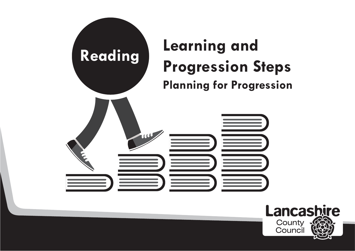

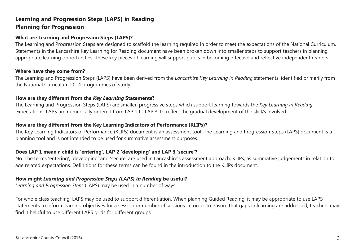### **What are Learning and Progression Steps (LAPS)?**

The Learning and Progression Steps are designed to scaffold the learning required in order to meet the expectations of the National Curriculum. Statements in the Lancashire Key Learning for Reading document have been broken down into smaller steps to support teachers in planning appropriate learning opportunities. These key pieces of learning will support pupils in becoming effective and reflective independent readers.

#### **Where have they come from?**

The Learning and Progression Steps (LAPS) have been derived from the *Lancashire Key Learning in Reading* statements, identified primarily from the National Curriculum 2014 programmes of study.

### **How are they different from the** *Key Learning* **Statements?**

The Learning and Progression Steps (LAPS) are smaller, progressive steps which support learning towards the *Key Learning in Reading* expectations. LAPS are numerically ordered from LAP 1 to LAP 3, to reflect the gradual development of the skill/s involved.

### **How are they different from the Key Learning Indicators of Performance (KLIPs)?**

The Key Learning Indicators of Performance (KLIPs) document is an assessment tool. The Learning and Progression Steps (LAPS) document is a planning tool and is not intended to be used for summative assessment purposes.

### **Does LAP 1 mean a child is 'entering', LAP 2 'developing' and LAP 3 'secure'?**

No. The terms 'entering', 'developing' and 'secure' are used in Lancashire's assessment approach, KLIPs, as summative judgements in relation to age related expectations. Definitions for these terms can be found in the introduction to the KLIPs document.

### **How might** *Learning and Progression Steps (LAPS) in Reading* **be useful?**

*Learning and Progression Steps* (LAPS) may be used in a number of ways.

For whole class teaching, LAPS may be used to support differentiation. When planning Guided Reading, it may be appropriate to use LAPS statements to inform learning objectives for a session or number of sessions. In order to ensure that gaps in learning are addressed, teachers may find it helpful to use different LAPS grids for different groups.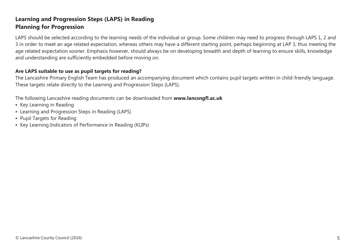LAPS should be selected according to the learning needs of the individual or group. Some children may need to progress through LAPS 1, 2 and 3 in order to meet an age related expectation, whereas others may have a different starting point, perhaps beginning at LAP 3, thus meeting the age related expectation sooner. Emphasis however, should always be on developing breadth and depth of learning to ensure skills, knowledge and understanding are sufficiently embedded before moving on.

### **Are LAPS suitable to use as pupil targets for reading?**

The Lancashire Primary English Team has produced an accompanying document which contains pupil targets written in child-friendly language. These targets relate directly to the Learning and Progression Steps (LAPS).

The following Lancashire reading documents can be downloaded from **www.lancsngfl.ac.uk**

- **Key Learning in Reading**
- **Example 2** Learning and Progression Steps in Reading (LAPS)
- **Pupil Targets for Reading**
- Key Learning Indicators of Performance in Reading (KLIPs)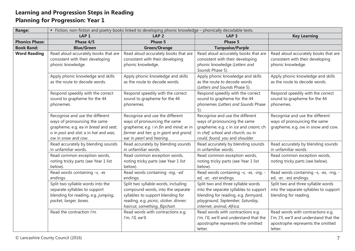| <b>Range:</b>         | " Fiction, non-fiction and poetry books linked to developing phonic knowledge - phonically decodable texts.                                                             |                                                                                                                                                                                           |                                                                                                                                                                                       |                                                                                                                               |  |
|-----------------------|-------------------------------------------------------------------------------------------------------------------------------------------------------------------------|-------------------------------------------------------------------------------------------------------------------------------------------------------------------------------------------|---------------------------------------------------------------------------------------------------------------------------------------------------------------------------------------|-------------------------------------------------------------------------------------------------------------------------------|--|
|                       | LAP <sub>1</sub>                                                                                                                                                        | LAP <sub>2</sub>                                                                                                                                                                          | LAP <sub>3</sub>                                                                                                                                                                      | <b>Key Learning</b>                                                                                                           |  |
| <b>Phonics Phase:</b> | Phase 4/5                                                                                                                                                               | <b>Phase 5</b>                                                                                                                                                                            | <b>Phase 5</b>                                                                                                                                                                        |                                                                                                                               |  |
| <b>Book Band:</b>     | <b>Blue/Green</b>                                                                                                                                                       | <b>Green/Orange</b>                                                                                                                                                                       | <b>Turquoise/Purple</b>                                                                                                                                                               |                                                                                                                               |  |
| <b>Word Reading</b>   | Read aloud accurately books that are<br>consistent with their developing<br>phonic knowledge.                                                                           | Read aloud accurately books that are<br>consistent with their developing<br>phonic knowledge.                                                                                             | Read aloud accurately books that are<br>consistent with their developing<br>phonic knowledge (Letters and<br>Sounds Phase 5).                                                         | Read aloud accurately books that are<br>consistent with their developing<br>phonic knowledge.                                 |  |
|                       | Apply phonic knowledge and skills<br>as the route to decode words.                                                                                                      | Apply phonic knowledge and skills<br>as the route to decode words.                                                                                                                        | Apply phonic knowledge and skills<br>as the route to decode words<br>(Letters and Sounds Phase 5).                                                                                    | Apply phonic knowledge and skills<br>as the route to decode words.                                                            |  |
|                       | Respond speedily with the correct<br>sound to grapheme for the 44<br>phonemes.                                                                                          | Respond speedily with the correct<br>sound to grapheme for the 44<br>phonemes.                                                                                                            | Respond speedily with the correct<br>sound to grapheme for the 44<br>phonemes (Letters and Sounds Phase<br>5).                                                                        | Respond speedily with the correct<br>sound to grapheme for the 44<br>phonemes.                                                |  |
|                       | Recognise and use the different<br>ways of pronouncing the same<br>grapheme; e.g. ea in bread and seat;<br>o in post and slot; a in hat and was;<br>ow in snow and cow. | Recognise and use the different<br>ways of pronouncing the same<br>grapheme; e.g. i in fin and mind; er in<br>farmer and her; q in giant and grand;<br>ear in pearl and hearing.          | Recognise and use the different<br>ways of pronouncing the same<br>grapheme; e.g. c in ice and cream; ch<br>in chef, school and church; ou in<br>could, found, you and shoulder.      | Recognise and use the different<br>ways of pronouncing the same<br>grapheme; e.g. ow in snow and cow.                         |  |
|                       | Read accurately by blending sounds<br>in unfamiliar words.                                                                                                              | Read accurately by blending sounds<br>in unfamiliar words.                                                                                                                                | Read accurately by blending sounds<br>in unfamiliar words.                                                                                                                            | Read accurately by blending sounds<br>in unfamiliar words.                                                                    |  |
|                       | Read common exception words,<br>noting tricky parts (see Year 1 list<br>below).                                                                                         | Read common exception words,<br>noting tricky parts (see Year 1 list<br>below).                                                                                                           | Read common exception words,<br>noting tricky parts (see Year 1 list<br>below).                                                                                                       | Read common exception words,<br>noting tricky parts (see below).                                                              |  |
|                       | Read words containing -s, -es<br>endings.                                                                                                                               | Read words containing -ing, -ed<br>endings.                                                                                                                                               | Read words containing -s, -es, -ing,<br>ed, -er, -est endings.                                                                                                                        | Read words containing -s, -es, -ing, -<br>ed, -er, -est endings.                                                              |  |
|                       | Split two syllable words into the<br>separate syllables to support<br>blending for reading, e.g. jumping,<br>pocket, longer, boxes.                                     | Split two syllable words, including<br>compound words, into the separate<br>syllables to support blending for<br>reading, e.g. picnic, sticker, dinner;<br>haircut, something, flipchart. | Split two and three syllable words<br>into the separate syllables to support<br>blending for reading, e.g. farmyard,<br>playground, September, Saturday,<br>internet, animal, Africa. | Split two and three syllable words<br>into the separate syllables to support<br>blending for reading.                         |  |
|                       | Read the contraction I'm.                                                                                                                                               | Read words with contractions e.g.<br>I'm, I'll, we'll.                                                                                                                                    | Read words with contractions e.g.<br>I'm, I'll, we'll and understand that the<br>apostrophe represents the omitted<br>letter.                                                         | Read words with contractions e.g.<br>I'm, I'll, we'll and understand that the<br>apostrophe represents the omitted<br>letter. |  |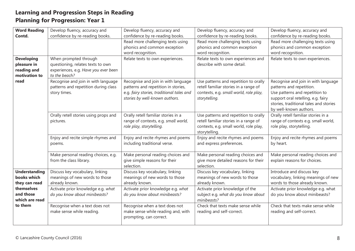| <b>Word Reading</b>                                  | Develop fluency, accuracy and                                                               | Develop fluency, accuracy and                                                                                                                             | Develop fluency, accuracy and                                                                                                             | Develop fluency, accuracy and                                                                                                                                                                               |
|------------------------------------------------------|---------------------------------------------------------------------------------------------|-----------------------------------------------------------------------------------------------------------------------------------------------------------|-------------------------------------------------------------------------------------------------------------------------------------------|-------------------------------------------------------------------------------------------------------------------------------------------------------------------------------------------------------------|
| Contd.                                               | confidence by re-reading books.                                                             | confidence by re-reading books.                                                                                                                           | confidence by re-reading books.                                                                                                           | confidence by re-reading books.                                                                                                                                                                             |
|                                                      |                                                                                             | Read more challenging texts using                                                                                                                         | Read more challenging texts using                                                                                                         | Read more challenging texts using                                                                                                                                                                           |
|                                                      |                                                                                             | phonics and common exception                                                                                                                              | phonics and common exception                                                                                                              | phonics and common exception                                                                                                                                                                                |
|                                                      |                                                                                             | word recognition.                                                                                                                                         | word recognition.                                                                                                                         | word recognition.                                                                                                                                                                                           |
| <b>Developing</b>                                    | When prompted through                                                                       | Relate texts to own experiences.                                                                                                                          | Relate texts to own experiences and                                                                                                       | Relate texts to own experiences.                                                                                                                                                                            |
| pleasure in                                          | questioning, relates texts to own                                                           |                                                                                                                                                           | describe with some detail.                                                                                                                |                                                                                                                                                                                                             |
| reading and                                          | experiences, e.g. Have you ever been                                                        |                                                                                                                                                           |                                                                                                                                           |                                                                                                                                                                                                             |
| motivation to                                        | to the beach?                                                                               |                                                                                                                                                           |                                                                                                                                           |                                                                                                                                                                                                             |
| read                                                 | Recognise and join in with language<br>patterns and repetition during class<br>story times. | Recognise and join in with language<br>patterns and repetition in stories,<br>e.g. fairy stories, traditional tales and<br>stories by well-known authors. | Use patterns and repetition to orally<br>retell familiar stories in a range of<br>contexts, e.g. small world, role play,<br>storytelling. | Recognise and join in with language<br>patterns and repetition.<br>Use patterns and repetition to<br>support oral retelling, e.g. fairy<br>stories, traditional tales and stories<br>by well-known authors. |
|                                                      | Orally retell stories using props and<br>pictures.                                          | Orally retell familiar stories in a<br>range of contexts, e.g. small world,<br>role play, storytelling.                                                   | Use patterns and repetition to orally<br>retell familiar stories in a range of<br>contexts, e.g. small world, role play,<br>storytelling. | Orally retell familiar stories in a<br>range of contexts e.g. small world,<br>role play, storytelling.                                                                                                      |
|                                                      | Enjoy and recite simple rhymes and<br>poems.                                                | Enjoy and recite rhymes and poems<br>including traditional verse.                                                                                         | Enjoy and recite rhymes and poems<br>and express preferences.                                                                             | Enjoy and recite rhymes and poems<br>by heart.                                                                                                                                                              |
|                                                      | Make personal reading choices, e.g.<br>from the class library.                              | Make personal reading choices and<br>give simple reasons for their<br>selection.                                                                          | Make personal reading choices and<br>give more detailed reasons for their<br>selection.                                                   | Make personal reading choices and<br>explain reasons for choices.                                                                                                                                           |
| <b>Understanding</b><br>books which<br>they can read | Discuss key vocabulary, linking<br>meanings of new words to those<br>already known.         | Discuss key vocabulary, linking<br>meanings of new words to those<br>already known.                                                                       | Discuss key vocabulary, linking<br>meanings of new words to those<br>already known.                                                       | Introduce and discuss key<br>vocabulary, linking meanings of new<br>words to those already known.                                                                                                           |
| themselves<br>and those<br>which are read            | Activate prior knowledge e.g. what<br>do you know about minibeasts?                         | Activate prior knowledge e.g. what<br>do you know about minibeasts?                                                                                       | Activate prior knowledge of the<br>subject e.g. what do you know about<br>minibeasts?                                                     | Activate prior knowledge e.g. what<br>do you know about minibeasts?                                                                                                                                         |
| to them                                              | Recognise when a text does not<br>make sense while reading.                                 | Recognise when a text does not<br>make sense while reading and, with<br>prompting, can correct.                                                           | Check that texts make sense while<br>reading and self-correct.                                                                            | Check that texts make sense while<br>reading and self-correct.                                                                                                                                              |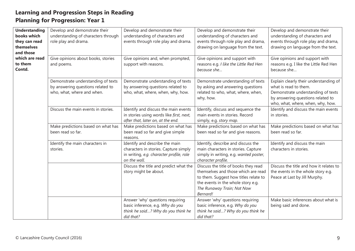| <b>Understanding</b><br>books which<br>they can read<br>themselves<br>and those | Develop and demonstrate their<br>understanding of characters through<br>role play and drama.          | Develop and demonstrate their<br>understanding of characters and<br>events through role play and drama.                             | Develop and demonstrate their<br>understanding of characters and<br>events through role play and drama,<br>drawing on language from the text.                                                        | Develop and demonstrate their<br>understanding of characters and<br>events through role play and drama,<br>drawing on language from the text.                                   |
|---------------------------------------------------------------------------------|-------------------------------------------------------------------------------------------------------|-------------------------------------------------------------------------------------------------------------------------------------|------------------------------------------------------------------------------------------------------------------------------------------------------------------------------------------------------|---------------------------------------------------------------------------------------------------------------------------------------------------------------------------------|
| which are read<br>to them<br>Contd.                                             | Give opinions about books, stories<br>and poems.                                                      | Give opinions and, when prompted,<br>support with reasons.                                                                          | Give opinions and support with<br>reasons e.g. I like the Little Red Hen<br>because she                                                                                                              | Give opinions and support with<br>reasons e.g. I like the Little Red Hen<br>because she                                                                                         |
|                                                                                 | Demonstrate understanding of texts<br>by answering questions related to<br>who, what, where and when. | Demonstrate understanding of texts<br>by answering questions related to<br>who, what, where, when, why, how.                        | Demonstrate understanding of texts<br>by asking and answering questions<br>related to who, what, where, when,<br>why, how.                                                                           | Explain clearly their understanding of<br>what is read to them.<br>Demonstrate understanding of texts<br>by answering questions related to<br>who, what, where, when, why, how. |
|                                                                                 | Discuss the main events in stories.                                                                   | Identify and discuss the main events<br>in stories using words like first, next,<br>after that, later on, at the end.               | Identify, discuss and sequence the<br>main events in stories. Record<br>simply, e.g. story map.                                                                                                      | Identify and discuss the main events<br>in stories.                                                                                                                             |
|                                                                                 | Make predictions based on what has<br>been read so far.                                               | Make predictions based on what has<br>been read so far and give simple<br>reasons.                                                  | Make predictions based on what has<br>been read so far and give reasons.                                                                                                                             | Make predictions based on what has<br>been read so far.                                                                                                                         |
|                                                                                 | Identify the main characters in<br>stories.                                                           | Identify and describe the main<br>characters in stories. Capture simply<br>in writing, e.g. character profile, role<br>on the wall. | Identify, describe and discuss the<br>main characters in stories. Capture<br>simply in writing, e.g. wanted poster,<br>character profile.                                                            | Identify and discuss the main<br>characters in stories.                                                                                                                         |
|                                                                                 |                                                                                                       | Discuss the title and predict what the<br>story might be about.                                                                     | Discuss the title of books they read<br>themselves and those which are read<br>to them. Suggest how titles relate to<br>the events in the whole story e.g.<br>The Runaway Train; Not Now<br>Bernard! | Discuss the title and how it relates to<br>the events in the whole story e.g.<br>Peace at Last by Jill Murphy.                                                                  |
|                                                                                 |                                                                                                       | Answer 'why' questions requiring<br>basic inference, e.g. Why do you<br>think he said? Why do you think he<br>did that?             | Answer 'why' questions requiring<br>basic inference, e.g. Why do you<br>think he said? Why do you think he<br>did that?                                                                              | Make basic inferences about what is<br>being said and done.                                                                                                                     |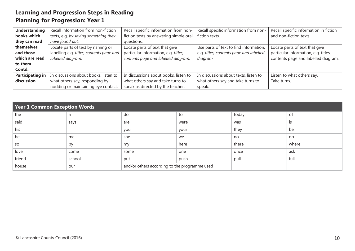| <b>Understanding</b> | Recall information from non-fiction      | Recall specific information from non-  | Recall specific information from non-   | Recall specific information in fiction |
|----------------------|------------------------------------------|----------------------------------------|-----------------------------------------|----------------------------------------|
| books which          | texts, e.g. by saying something they     | fiction texts by answering simple oral | fiction texts.                          | and non-fiction texts.                 |
| they can read        | have found out.                          | questions.                             |                                         |                                        |
| themselves           | Locate parts of text by naming or        | Locate parts of text that give         | Use parts of text to find information,  | Locate parts of text that give         |
| and those            | labelling e.g. titles, contents page and | particular information, e.g. titles,   | e.g. titles, contents page and labelled | particular information, e.g. titles,   |
| which are read       | labelled diagram.                        | contents page and labelled diagram.    | diagram.                                | contents page and labelled diagram.    |
| to them              |                                          |                                        |                                         |                                        |
| Contd.               |                                          |                                        |                                         |                                        |
| Participating in     | In discussions about books, listen to    | In discussions about books, listen to  | In discussions about texts, listen to   | Listen to what others say.             |
| discussion           | what others say, responding by           | what others say and take turns to      | what others say and take turns to       | Take turns.                            |
|                      | nodding or maintaining eye contact.      | speak as directed by the teacher.      | speak.                                  |                                        |

| Year $1$ Common Exception Words |        |                                               |      |       |       |
|---------------------------------|--------|-----------------------------------------------|------|-------|-------|
| the                             | a      | do                                            | to   | today | οf    |
| said                            | says   | are                                           | were | was   | IS    |
| his                             |        | you                                           | your | they  | be    |
| he                              | me     | she                                           | we   | no    | go    |
| <b>SO</b>                       | by     | my                                            | here | there | where |
| love                            | come   | some                                          | one  | once  | ask   |
| friend                          | school | put                                           | push | pull  | full  |
| house                           | our    | and/or others according to the programme used |      |       |       |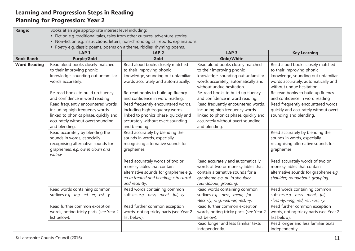| <b>Range:</b>       | Books at an age appropriate interest level including:                           |                                                                                    |                                        |                                        |  |  |  |
|---------------------|---------------------------------------------------------------------------------|------------------------------------------------------------------------------------|----------------------------------------|----------------------------------------|--|--|--|
|                     | · Fiction e.g. traditional tales, tales from other cultures, adventure stories. |                                                                                    |                                        |                                        |  |  |  |
|                     |                                                                                 | • Non-fiction e.g. instructions, letters, non-chronological reports, explanations. |                                        |                                        |  |  |  |
|                     | • Poetry e.g. classic poems, poems on a theme, riddles, rhyming poems.          |                                                                                    |                                        |                                        |  |  |  |
|                     | LAP <sub>1</sub>                                                                | LAP <sub>2</sub>                                                                   | LAP <sub>3</sub>                       | <b>Key Learning</b>                    |  |  |  |
| <b>Book Band:</b>   | <b>Purple/Gold</b>                                                              | Gold                                                                               | Gold/White                             |                                        |  |  |  |
| <b>Word Reading</b> | Read aloud books closely matched                                                | Read aloud books closely matched                                                   | Read aloud books closely matched       | Read aloud books closely matched       |  |  |  |
|                     | to their improving phonic                                                       | to their improving phonic                                                          | to their improving phonic              | to their improving phonic              |  |  |  |
|                     | knowledge, sounding out unfamiliar                                              | knowledge, sounding out unfamiliar                                                 | knowledge, sounding out unfamiliar     | knowledge, sounding out unfamiliar     |  |  |  |
|                     | words accurately.                                                               | words accurately and automatically.                                                | words accurately, automatically and    | words accurately, automatically and    |  |  |  |
|                     |                                                                                 |                                                                                    | without undue hesitation.              | without undue hesitation.              |  |  |  |
|                     | Re-read books to build up fluency                                               | Re-read books to build up fluency                                                  | Re-read books to build up fluency      | Re-read books to build up fluency      |  |  |  |
|                     | and confidence in word reading                                                  | and confidence in word reading.                                                    | and confidence in word reading.        | and confidence in word reading         |  |  |  |
|                     | Read frequently encountered words,                                              | Read frequently encountered words,                                                 | Read frequently encountered words,     | Read frequently encountered words      |  |  |  |
|                     | including high frequency words                                                  | including high frequency words                                                     | including high frequency words         | quickly and accurately without overt   |  |  |  |
|                     | linked to phonics phase, quickly and                                            | linked to phonics phase, quickly and                                               | linked to phonics phase, quickly and   | sounding and blending.                 |  |  |  |
|                     | accurately without overt sounding                                               | accurately without overt sounding                                                  | accurately without overt sounding      |                                        |  |  |  |
|                     | and blending.                                                                   | and blending.                                                                      | and blending.                          |                                        |  |  |  |
|                     | Read accurately by blending the                                                 | Read accurately by blending the                                                    |                                        | Read accurately by blending the        |  |  |  |
|                     | sounds in words, especially                                                     | sounds in words, especially                                                        |                                        | sounds in words, especially            |  |  |  |
|                     | recognising alternative sounds for                                              | recognising alternative sounds for                                                 |                                        | recognising alternative sounds for     |  |  |  |
|                     | graphemes, e.g. ow in clown and                                                 | graphemes.                                                                         |                                        | graphemes.                             |  |  |  |
|                     | willow.                                                                         |                                                                                    |                                        |                                        |  |  |  |
|                     |                                                                                 | Read accurately words of two or                                                    | Read accurately and automatically      | Read accurately words of two or        |  |  |  |
|                     |                                                                                 | more syllables that contain                                                        | words of two or more syllables that    | more syllables that contain            |  |  |  |
|                     |                                                                                 | alternative sounds for grapheme e.g.                                               | contain alternative sounds for a       | alternative sounds for grapheme e.g.   |  |  |  |
|                     |                                                                                 | ea in treated and heading; c in carrot                                             | grapheme e.g. ou in shoulder,          | shoulder, roundabout, grouping.        |  |  |  |
|                     |                                                                                 | and recently.                                                                      | roundabout, grouping.                  |                                        |  |  |  |
|                     | Read words containing common                                                    | Read words containing common                                                       | Read words containing common           | Read words containing common           |  |  |  |
|                     | suffixes e.g. -ing, -ed, -er, -est, -y.                                         | suffixes e.g. -ness, -ment, -ful, -ly.                                             | suffixes e.g. -ness, -ment, -ful,      | suffixes e.g. -ness, -ment, -ful,      |  |  |  |
|                     |                                                                                 |                                                                                    | -less -ly, -ing, -ed, -er, -est, -y.   | -less -ly, -ing, -ed, -er, -est, -y.   |  |  |  |
|                     | Read further common exception                                                   | Read further common exception                                                      | Read further common exception          | Read further common exception          |  |  |  |
|                     | words, noting tricky parts (see Year 2                                          | words, noting tricky parts (see Year 2                                             | words, noting tricky parts (see Year 2 | words, noting tricky parts (see Year 2 |  |  |  |
|                     | list below).                                                                    | list below).                                                                       | list below).                           | list below).                           |  |  |  |
|                     |                                                                                 |                                                                                    | Read longer and less familiar texts    | Read longer and less familiar texts    |  |  |  |
|                     |                                                                                 |                                                                                    | independently.                         | independently.                         |  |  |  |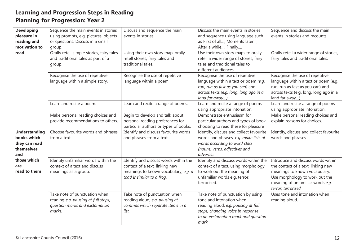| <b>Developing</b>                                                         | Sequence the main events in stories                                                                              | Discuss and sequence the main                                                                                                                 | Discuss the main events in stories                                                                                                                                                        | Sequence and discuss the main                                                                                                                                                                          |
|---------------------------------------------------------------------------|------------------------------------------------------------------------------------------------------------------|-----------------------------------------------------------------------------------------------------------------------------------------------|-------------------------------------------------------------------------------------------------------------------------------------------------------------------------------------------|--------------------------------------------------------------------------------------------------------------------------------------------------------------------------------------------------------|
| pleasure in                                                               | using prompts, e.g. pictures, objects                                                                            | events in stories.                                                                                                                            | and sequence using language such                                                                                                                                                          | events in stories and recounts.                                                                                                                                                                        |
| reading and                                                               | or questions. Discuss in a small                                                                                 |                                                                                                                                               | as First of all, Moments later,                                                                                                                                                           |                                                                                                                                                                                                        |
| motivation to                                                             | group.                                                                                                           |                                                                                                                                               | After a while, Finally                                                                                                                                                                    |                                                                                                                                                                                                        |
| read                                                                      | Orally retell simple stories, fairy tales<br>and traditional tales as part of a<br>group.                        | Using their own story map, orally<br>retell stories, fairy tales and<br>traditional tales.                                                    | Use their own story maps to orally<br>retell a wider range of stories, fairy<br>tales and traditional tales to<br>different audiences.                                                    | Orally retell a wider range of stories,<br>fairy tales and traditional tales.                                                                                                                          |
|                                                                           | Recognise the use of repetitive<br>language within a simple story.                                               | Recognise the use of repetitive<br>language within a poem.                                                                                    | Recognise the use of repetitive<br>language within a text or poem (e.g.<br>run, run as fast as you can) and<br>across texts (e.g. long, long ago in a<br>land far away).                  | Recognise the use of repetitive<br>language within a text or poem (e.g.<br>run, run as fast as you can) and<br>across texts (e.g. long, long ago in a<br>land far away).                               |
|                                                                           | Learn and recite a poem.                                                                                         | Learn and recite a range of poems.                                                                                                            | Learn and recite a range of poems<br>using appropriate intonation.                                                                                                                        | Learn and recite a range of poems<br>using appropriate intonation.                                                                                                                                     |
|                                                                           | Make personal reading choices and<br>provide recommendations to others.                                          | Begin to develop and talk about<br>personal reading preferences for<br>particular authors or types of books.                                  | Demonstrate enthusiasm for<br>particular authors and types of book,<br>choosing to read these for pleasure                                                                                | Make personal reading choices and<br>explain reasons for choices.                                                                                                                                      |
| <b>Understanding</b><br>books which<br>they can read<br>themselves<br>and | Choose favourite words and phrases<br>from a text.                                                               | Identify and discuss favourite words<br>and phrases from a text.                                                                              | Identify, discuss and collect favourite<br>words and phrases, e.g. make lists of<br>words according to word class<br>(nouns, verbs, adjectives and<br>adverbs).                           | Identify, discuss and collect favourite<br>words and phrases.                                                                                                                                          |
| those which<br>are<br>read to them                                        | Identify unfamiliar words within the<br>context of a text and discuss<br>meanings as a group.                    | Identify and discuss words within the<br>context of a text, linking new<br>meanings to known vocabulary, e.g. a<br>toad is similar to a frog. | Identify and discuss words within the<br>context of a text, using morphology<br>to work out the meaning of<br>unfamiliar words e.g. terror,<br>terrorised.                                | Introduce and discuss words within<br>the context of a text, linking new<br>meanings to known vocabulary.<br>Use morphology to work out the<br>meaning of unfamiliar words e.g.<br>terror, terrorised. |
|                                                                           | Take note of punctuation when<br>reading e.g. pausing at full stops,<br>question marks and exclamation<br>marks. | Take note of punctuation when<br>reading aloud, e.g. pausing at<br>commas which separate items in a<br>list.                                  | Take note of punctuation by using<br>tone and intonation when<br>reading aloud, e.g. pausing at full<br>stops, changing voice in response<br>to an exclamation mark and question<br>mark. | Uses tone and intonation when<br>reading aloud.                                                                                                                                                        |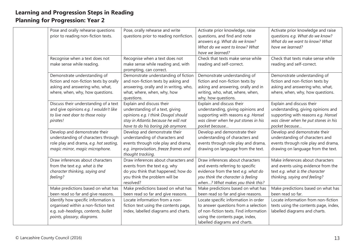| Pose and orally rehearse questions      | Pose, orally rehearse and write        | Activate prior knowledge, raise        | Activate prior knowledge and raise    |
|-----------------------------------------|----------------------------------------|----------------------------------------|---------------------------------------|
| prior to reading non-fiction texts.     | questions prior to reading nonfiction. | questions, and find and note           | questions e.g. What do we know?       |
|                                         |                                        | answers e.g. What do we know?          | What do we want to know? What         |
|                                         |                                        | What do we want to know? What          | have we learned?                      |
|                                         |                                        | have we learned?                       |                                       |
| Recognise when a text does not          | Recognise when a text does not         | Check that texts make sense while      | Check that texts make sense while     |
| make sense while reading.               | make sense while reading and, with     | reading and self-correct.              | reading and self-correct.             |
|                                         | prompting, can correct.                |                                        |                                       |
| Demonstrate understanding of            | Demonstrate understanding of fiction   | Demonstrate understanding of           | Demonstrate understanding of          |
| fiction and non-fiction texts by orally | and non-fiction texts by asking and    | fiction and non-fiction texts by       | fiction and non-fiction texts by      |
| asking and answering who, what,         | answering, orally and in writing, who, | asking and answering, orally and in    | asking and answering who, what,       |
| where, when, why, how questions.        | what, where, when, why, how            | writing, who, what, where, when,       | where, when, why, how questions.      |
|                                         | questions.                             | why, how questions.                    |                                       |
| Discuss their understanding of a text   | Explain and discuss their              | Explain and discuss their              | Explain and discuss their             |
| and give opinions e.g. I wouldn't like  | understanding of a text, giving        | understanding, giving opinions and     | understanding, giving opinions and    |
| to live next door to those noisy        | opinions e.g. I think Dougal should    | supporting with reasons e.g. Hansel    | supporting with reasons e.g. Hansel   |
| pirates!                                | stay in Atlantis because he will not   | was clever when he put stones in his   | was clever when he put stones in his  |
|                                         | have to do his boring job anymore.     | pocket because                         | pocket because                        |
| Develop and demonstrate their           | Develop and demonstrate their          | Develop and demonstrate their          | Develop and demonstrate their         |
| understanding of characters through     | understanding of characters and        | understanding of characters and        | understanding of characters and       |
| role play and drama, e.g. hot seating,  | events through role play and drama,    | events through role play and drama,    | events through role play and drama,   |
| magic mirror, magic microphone.         | e.g. improvisation, freeze frames and  | drawing on language from the text.     | drawing on language from the text.    |
|                                         | thought tracking.                      |                                        |                                       |
| Draw inferences about characters        | Draw inferences about characters and   | Draw inferences about characters       | Make inferences about characters      |
| from the text e.g. what is the          | events from the text e.g. why          | and events referring to specific       | and events using evidence from the    |
| character thinking, saying and          | do you think that happened; how do     | evidence from the text e.g. what do    | text e.g. what is the character       |
| feeling?                                | you think the problem will be          | you think the character is feeling     | thinking, saying and feeling?         |
|                                         | resolved?                              | when? What makes you think this?       |                                       |
| Make predictions based on what has      | Make predictions based on what has     | Make predictions based on what has     | Make predictions based on what has    |
| been read so far and give reasons.      | been read so far and give reasons.     | been read so far and give reasons.     | been read so far.                     |
| Identify how specific information is    | Locate information from a non-         | Locate specific information in order   | Locate information from non-fiction   |
| organised within a non-fiction text     | fiction text using the contents page,  | to answer questions from a selection   | texts using the contents page, index, |
| e.g. sub-headings, contents, bullet     | index, labelled diagrams and charts.   | of non-fiction texts. Find information | labelled diagrams and charts.         |
| points, glossary, diagrams.             |                                        | using the contents page, index,        |                                       |
|                                         |                                        | labelled diagrams and charts.          |                                       |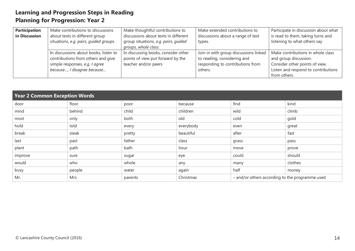| <b>Participation</b> | Make contributions to discussions      | Make thoughtful contributions to     | Make extended contributions to        | Participate in discussion about what |
|----------------------|----------------------------------------|--------------------------------------|---------------------------------------|--------------------------------------|
| in Discussion        | about texts in different group         | discussions about texts in different | discussions about a range of text     | is read to them, taking turns and    |
|                      | situations, e.g. pairs, quided groups. | group situations, e.g. pairs, guided | types.                                | listening to what others say         |
|                      |                                        | groups, whole class.                 |                                       |                                      |
|                      | In discussions about books, listen to  | In discussing books, consider other  | Join in with group discussions linked | Make contributions in whole class    |
|                      | contributions from others and give     | points of view put forward by the    | to reading, considering and           | and group discussion.                |
|                      | simple responses, e.g. I agree         | teacher and/or peers                 | responding to contributions from      | Consider other points of view.       |
|                      | because, I disagree because            |                                      | others.                               | Listen and respond to contributions  |
|                      |                                        |                                      |                                       | from others.                         |

| <b>Year 2 Common Exception Words</b> |        |         |           |                                                 |         |
|--------------------------------------|--------|---------|-----------|-------------------------------------------------|---------|
| door                                 | floor  | poor    | because   | find                                            | kind    |
| mind                                 | behind | child   | children  | wild                                            | climb   |
| most                                 | only   | both    | old       | cold                                            | gold    |
| hold                                 | told   | every   | everybody | even                                            | great   |
| break                                | steak  | pretty  | beautiful | after                                           | fast    |
| last                                 | past   | father  | class     | grass                                           | pass    |
| plant                                | path   | bath    | hour      | move                                            | prove   |
| improve                              | sure   | sugar   | eye       | could                                           | should  |
| would                                | who    | whole   | any       | many                                            | clothes |
| busy                                 | people | water   | again     | half                                            | money   |
| Mr.                                  | Mrs    | parents | Christmas | - and/or others according to the programme used |         |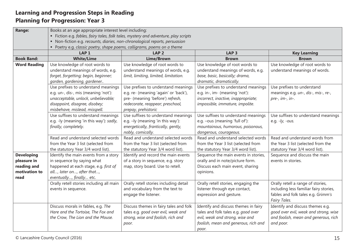| Range:              | Books at an age appropriate interest level including:                               |                                                         |                                                          |                                                                              |  |
|---------------------|-------------------------------------------------------------------------------------|---------------------------------------------------------|----------------------------------------------------------|------------------------------------------------------------------------------|--|
|                     | · Fiction e.g. fables, fairy tales, folk tales, mystery and adventure, play scripts |                                                         |                                                          |                                                                              |  |
|                     | • Non-fiction e.g. recounts, diaries, non-chronological reports, persuasion         |                                                         |                                                          |                                                                              |  |
|                     | • Poetry e.g. classic poetry, shape poems, calligrams, poems on a theme             |                                                         |                                                          |                                                                              |  |
|                     | LAP <sub>1</sub>                                                                    | LAP <sub>2</sub>                                        | LAP <sub>3</sub>                                         | <b>Key Learning</b>                                                          |  |
| <b>Book Band:</b>   | <b>White/Lime</b>                                                                   | <b>Lime/Brown</b>                                       | <b>Brown</b>                                             | <b>Brown</b>                                                                 |  |
| <b>Word Reading</b> | Use knowledge of root words to                                                      | Use knowledge of root words to                          | Use knowledge of root words to                           | Use knowledge of root words to                                               |  |
|                     | understand meanings of words, e.g.                                                  | understand meanings of words, e.g.                      | understand meanings of words, e.g.                       | understand meanings of words.                                                |  |
|                     | forget, forgetting; begin, beginner;                                                | limit, limiting, limited, limitation.                   | base, basic, basically; drama,                           |                                                                              |  |
|                     | garden, gardening, gardener                                                         |                                                         | dramatic, dramatically.                                  |                                                                              |  |
|                     | Use prefixes to understand meanings                                                 | Use prefixes to understand meanings                     | Use prefixes to understand meanings                      | Use prefixes to understand                                                   |  |
|                     | e.g. un-, dis-, mis (meaning 'not'):                                                | e.g. re- (meaning 'again' or 'back'),                   | e.g. in-, im- (meaning 'not'):                           | meanings e.g. un-, dis-, mis-, re-,                                          |  |
|                     | unacceptable, unlock, unbelievable;                                                 | pre- (meaning 'before') refresh,                        | incorrect, inactive, inappropriate;                      | pre-, im-, in-.                                                              |  |
|                     | disappoint, disagree, disobey;                                                      | redecorate, reappear; preschool,                        | impossible, immature, impolite.                          |                                                                              |  |
|                     | misbehave, mislead, misspell.                                                       | prepay, prehistoric                                     |                                                          |                                                                              |  |
|                     | Use suffixes to understand meanings                                                 | Use suffixes to understand meanings                     | Use suffixes to understand meanings                      | Use suffixes to understand meanings                                          |  |
|                     | e.g. -ly (meaning 'in this way'): sadly,                                            | e.g. - ly (meaning 'in this way'):                      | e.g. -ous (meaning 'full of'):                           | e.g. $-ly$ , $-ous$ .                                                        |  |
|                     | finally, completely.                                                                | energetically, frantically, gently,                     | mountainous, humorous, poisonous,                        |                                                                              |  |
|                     |                                                                                     | nobly, comically.                                       | dangerous, courageous.                                   |                                                                              |  |
|                     | Read and understand selected words                                                  | Read and understand selected words                      | Read and understand selected words                       | Read and understand words from                                               |  |
|                     | from the Year 3 list (selected from                                                 | from the Year 3 list (selected from                     | from the Year 3 list (selected from                      | the Year 3 list (selected from the                                           |  |
|                     | the statutory Year 3/4 word list).                                                  | the statutory Year 3/4 word list).                      | the statutory Year 3/4 word list).                       | statutory Year 3/4 word list).                                               |  |
| <b>Developing</b>   | Identify the main events from a story                                               | Identify and record the main events                     | Sequence the main events in stories,                     | Sequence and discuss the main                                                |  |
| pleasure in         | in sequence by saying what                                                          | of a story in sequence, e.g. story                      | orally and in note/picture form.                         | events in stories.                                                           |  |
| reading and         | happened at each stage, e.g. first of                                               | map, story board. Use to retell.                        | Discuss each main event, sharing                         |                                                                              |  |
| motivation to       | all, later on, after that,                                                          |                                                         | opinions.                                                |                                                                              |  |
| read                | eventually, finally etc.                                                            |                                                         |                                                          |                                                                              |  |
|                     | Orally retell stories including all main                                            | Orally retell stories including detail                  | Orally retell stories, engaging the                      | Orally retell a range of stories,                                            |  |
|                     | events in sequence.                                                                 | and vocabulary from the text to<br>engage the listener. | listener through eye contact,<br>expression and gesture. | including less familiar fairy stories,<br>fables and folk tales e.g. Grimm's |  |
|                     |                                                                                     |                                                         |                                                          |                                                                              |  |
|                     |                                                                                     |                                                         |                                                          | Fairy Tales.                                                                 |  |
|                     | Discuss morals in fables, e.g. The                                                  | Discuss themes in fairy tales and folk                  | Identify and discuss themes in fairy                     | Identify and discuss themes e.g.                                             |  |
|                     | Hare and the Tortoise, The Fox and                                                  | tales e.g. good over evil, weak and                     | tales and folk tales e.g. good over                      | good over evil, weak and strong, wise                                        |  |
|                     | the Crow, The Lion and the Mouse.                                                   | strong, wise and foolish, rich and                      | evil, weak and strong, wise and                          | and foolish, mean and generous, rich                                         |  |
|                     |                                                                                     | poor.                                                   | foolish, mean and generous, rich and                     | and poor.                                                                    |  |
|                     |                                                                                     |                                                         | poor.                                                    |                                                                              |  |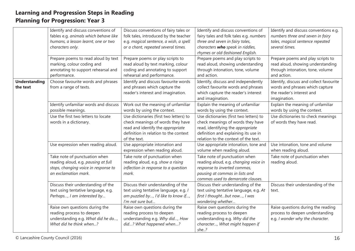|                                  | Identify and discuss conventions of<br>fables e.g. animals which behave like<br>humans, a lesson learnt, one or two<br>characters only. | Discuss conventions of fairy tales or<br>folk tales, introduced by the teacher<br>e.g. magical sentence, a wish, a spell<br>or a chant, repeated several times.            | Identify and discuss conventions of<br>fairy tales and folk tales e.g. numbers<br>three and seven in fairy tales,<br>characters who speak in riddles,<br>rhymes or old-fashioned English.         | Identify and discuss conventions e.g.<br>numbers three and seven in fairy<br>tales, magical sentence repeated<br>several times. |
|----------------------------------|-----------------------------------------------------------------------------------------------------------------------------------------|----------------------------------------------------------------------------------------------------------------------------------------------------------------------------|---------------------------------------------------------------------------------------------------------------------------------------------------------------------------------------------------|---------------------------------------------------------------------------------------------------------------------------------|
|                                  | Prepare poems to read aloud by text<br>marking, colour coding and<br>annotating to support rehearsal and<br>performance.                | Prepare poems or play scripts to<br>read aloud by text marking, colour<br>coding and annotating to support<br>rehearsal and performance.                                   | Prepare poems and play scripts to<br>read aloud, showing understanding<br>through intonation, tone, volume<br>and action.                                                                         | Prepare poems and play scripts to<br>read aloud, showing understanding<br>through intonation, tone, volume<br>and action.       |
| <b>Understanding</b><br>the text | Choose favourite words and phrases<br>from a range of texts.                                                                            | Identify and discuss favourite words<br>and phrases which capture the<br>reader's interest and imagination.                                                                | Identify, discuss and independently<br>collect favourite words and phrases<br>which capture the reader's interest<br>and imagination.                                                             | Identify, discuss and collect favourite<br>words and phrases which capture<br>the reader's interest and<br>imagination.         |
|                                  | Identify unfamiliar words and discuss<br>possible meanings.                                                                             | Work out the meaning of unfamiliar<br>words by using the context.                                                                                                          | Explain the meaning of unfamiliar<br>words by using the context.                                                                                                                                  | Explain the meaning of unfamiliar<br>words by using the context.                                                                |
|                                  | Use the first two letters to locate<br>words in a dictionary.                                                                           | Use dictionaries (first two letters) to<br>check meanings of words they have<br>read and identify the appropriate<br>definition in relation to the context<br>of the text. | Use dictionaries (first two letters) to<br>check meanings of words they have<br>read, identifying the appropriate<br>definition and explaining its use in<br>relation to the context of the text. | Use dictionaries to check meanings<br>of words they have read.                                                                  |
|                                  | Use expression when reading aloud.                                                                                                      | Use appropriate intonation and<br>expression when reading aloud.                                                                                                           | Use appropriate intonation, tone and<br>volume when reading aloud.                                                                                                                                | Use intonation, tone and volume<br>when reading aloud.                                                                          |
|                                  | Take note of punctuation when<br>reading aloud, e.g. pausing at full<br>stops, changing voice in response to<br>an exclamation mark.    | Take note of punctuation when<br>reading aloud, e.g. show a rising<br>inflection in response to a question<br>mark.                                                        | Take note of punctuation when<br>reading aloud, e.g. changing voice in<br>response to inverted commas,<br>pausing at commas in lists and<br>commas used to demarcate clauses.                     | Take note of punctuation when<br>reading aloud.                                                                                 |
|                                  | Discuss their understanding of the<br>text using tentative language, e.g.<br>Perhaps, I am interested by                                | Discuss their understanding of the<br>text using tentative language, e.g. /<br>am puzzled by, I'd like to know if,<br>I'm not sure but                                     | Discuss their understanding of the<br>text using tentative language, e.g. At<br>first I thoughtbut now, I was<br>wondering whether                                                                | Discuss their understanding of the<br>text.                                                                                     |
|                                  | Raise own questions during the<br>reading process to deepen<br>understanding e.g. What did he do,<br>What did he think when?            | Raise own questions during the<br>reading process to deepen<br>understanding e.g. Why did, How<br>did? What happened when?                                                 | Raise own questions during the<br>reading process to deepen<br>understanding e.g. Why did the<br>character, What might happen if<br>she?                                                          | Raise questions during the reading<br>process to deepen understanding<br>e.g. I wonder why the character.                       |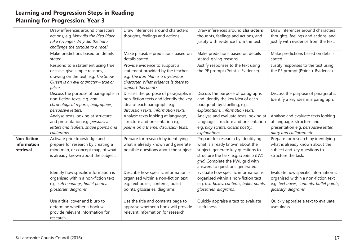|                                                | Draw inferences around characters<br>actions, e.g. Why did the Pied Piper<br>take revenge? Why did the hare<br>challenge the tortoise to a race?            | Draw inferences around characters<br>thoughts, feelings and actions.                                                                                                    | Draw inferences around characters'<br>thoughts, feelings and actions, and<br>justify with evidence from the text.                                                                                                            | Draw inferences around characters<br>thoughts, feelings and actions, and<br>justify with evidence from the text.                                |
|------------------------------------------------|-------------------------------------------------------------------------------------------------------------------------------------------------------------|-------------------------------------------------------------------------------------------------------------------------------------------------------------------------|------------------------------------------------------------------------------------------------------------------------------------------------------------------------------------------------------------------------------|-------------------------------------------------------------------------------------------------------------------------------------------------|
|                                                | Make predictions based on details<br>stated.                                                                                                                | Make plausible predictions based on<br>details stated.                                                                                                                  | Make predictions based on details<br>stated, giving reasons.                                                                                                                                                                 | Make predictions based on details<br>stated.                                                                                                    |
|                                                | Respond to a statement using true<br>or false; give simple reasons,<br>drawing on the text, e.g. The Snow<br>Queen is an evil character - true or<br>false? | Provide evidence to support a<br>statement provided by the teacher,<br>e.g. The Iron Man is a mysterious<br>character. What evidence is there to<br>support this point? | Justify responses to the text using<br>the PE prompt (Point + Evidence).                                                                                                                                                     | Justify responses to the text using<br>the PE prompt (Point $+$ Evidence).                                                                      |
|                                                | Discuss the purpose of paragraphs in<br>non-fiction texts, e.g. non-<br>chronological reports, biographies,<br>persuasive letters.                          | Discuss the purpose of paragraphs in<br>non-fiction texts and identify the key<br>idea of each paragraph, e.g.<br>discussion texts, information texts.                  | Discuss the purpose of paragraphs<br>and identify the key idea of each<br>paragraph by labelling, e.g.<br>explanations, information texts.                                                                                   | Discuss the purpose of paragraphs.<br>Identify a key idea in a paragraph.                                                                       |
|                                                | Analyse texts looking at structure<br>and presentation e.g. persuasive<br>letters and leaflets, shape poems and<br>calligrams.                              | Analyse texts looking at language,<br>structure and presentation e.g.<br>poems on a theme, discussion texts.                                                            | Analyse and evaluate texts looking at<br>language, structure and presentation<br>e.g. play scripts, classic poetry,<br>explanations.                                                                                         | Analyse and evaluate texts looking<br>at language, structure and<br>presentation e.g. persuasive letter,<br>diary and calligram etc.            |
| <b>Non-fiction</b><br>information<br>retrieval | Activate prior knowledge and<br>prepare for research by creating a<br>mind map, or concept map, of what<br>is already known about the subject.              | Prepare for research by identifying<br>what is already known and generate<br>possible questions about the subject.                                                      | Prepare for research by identifying<br>what is already known about the<br>subject, generate key questions to<br>structure the task, e.g. create a KWL<br>grid. Complete the KWL grid with<br>answers to questions generated. | Prepare for research by identifying<br>what is already known about the<br>subject and key questions to<br>structure the task.                   |
|                                                | Identify how specific information is<br>organised within a non-fiction text<br>e.g. sub headings, bullet points,<br>glossaries, diagrams.                   | Describe how specific information is<br>organised within a non-fiction text<br>e.g. text boxes, contents, bullet<br>points, glossaries, diagrams.                       | Evaluate how specific information is<br>organised within a non-fiction text<br>e.g. text boxes, contents, bullet points,<br>glossaries, diagrams.                                                                            | Evaluate how specific information is<br>organised within a non-fiction text<br>e.g. text boxes, contents, bullet points,<br>glossary, diagrams. |
|                                                | Use a title, cover and blurb to<br>determine whether a book will<br>provide relevant information for<br>research.                                           | Use the title and contents page to<br>appraise whether a book will provide<br>relevant information for research.                                                        | Quickly appraise a text to evaluate<br>usefulness.                                                                                                                                                                           | Quickly appraise a text to evaluate<br>usefulness.                                                                                              |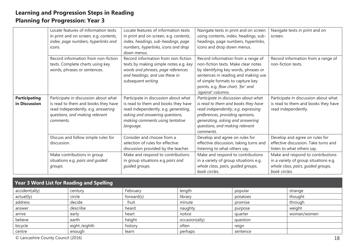|                                       | Locate features of information texts<br>in print and on screen, e.g. contents,<br>index, page numbers, hyperlinks and<br>icons.                                  | Locate features of information texts<br>in print and on screen, e.g. contents,<br>index, headings, sub-headings, page<br>numbers, hyperlinks, icons and drop<br>down menus.                            | Navigate texts in print and on screen<br>using contents, index, headings, sub-<br>headings, page numbers, hyperlinks,<br>icons and drop down menus.                                                                                                      | Navigate texts in print and on<br>screen.                                                                                         |
|---------------------------------------|------------------------------------------------------------------------------------------------------------------------------------------------------------------|--------------------------------------------------------------------------------------------------------------------------------------------------------------------------------------------------------|----------------------------------------------------------------------------------------------------------------------------------------------------------------------------------------------------------------------------------------------------------|-----------------------------------------------------------------------------------------------------------------------------------|
|                                       | Record information from non-fiction<br>texts. Complete charts using key<br>words, phrases or sentences.                                                          | Record information from non-fiction<br>texts by making simple notes e.g. key<br>words and phrases, page references<br>and headings, and use these in<br>subsequent writing.                            | Record information from a range of<br>non-fiction texts. Make clear notes<br>by identifying key words, phrases or<br>sentences in reading and making use<br>of simple formats to capture key<br>points, e.g. flow chart, 'for' and<br>'against' columns. | Record information from a range of<br>non-fiction texts.                                                                          |
| <b>Participating</b><br>in Discussion | Participate in discussion about what<br>is read to them and books they have<br>read independently, e.g. answering<br>questions, and making relevant<br>comments. | Participate in discussion about what<br>is read to them and books they have<br>read independently, e.g. generating,<br>asking and answering questions,<br>making comments using tentative<br>language. | Participate in discussion about what<br>is read to them and books they have<br>read independently, e.g. expressing<br>preferences, providing opinions,<br>generating, asking and answering<br>questions, and making relevant<br>comments.                | Participate in discussion about what<br>is read to them and books they have<br>read independently.                                |
|                                       | Discuss and follow simple rules for<br>discussion.                                                                                                               | Consider and choose from a<br>selection of rules for effective<br>discussion provided by the teacher.                                                                                                  | Develop and agree on rules for<br>effective discussion, taking turns and<br>listening to what others say.                                                                                                                                                | Develop and agree on rules for<br>effective discussion. Take turns and<br>listen to what others say.                              |
|                                       | Make contributions in group<br>situations e.g. pairs and guided<br>groups.                                                                                       | Make and respond to contributions<br>in group situations e.g pairs and<br>guided groups.                                                                                                               | Make and respond to contributions<br>in a variety of group situations e.g.<br>whole class, pairs, guided groups,<br>book circles.                                                                                                                        | Make and respond to contributions<br>in a variety of group situations e.g.<br>whole class, pairs, guided groups,<br>book circles. |

| Year 3 Word List for Reading and Spelling |               |            |                |          |             |
|-------------------------------------------|---------------|------------|----------------|----------|-------------|
| accident(ally)                            | century       | February   | length         | popular  | strange     |
| actual(ly)                                | circle        | forward(s) | library        | potatoes | thought     |
| address                                   | decide        | fruit      | minute         | promise  | through     |
| answer                                    | describe      | heard      | naughty        | purpose  | weight      |
| arrive                                    | early         | heart      | notice         | quarter  | woman/women |
| believe                                   | earth         | height     | occasion(ally) | question |             |
| bicycle                                   | eight /eighth | history    | often          | reign    |             |
| centre                                    | enough        | learn      | perhaps        | sentence |             |

© Lancashire County Council (2016) 18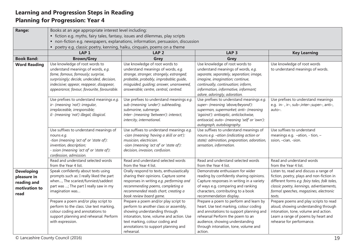| <b>Range:</b>                                                            | Books at an age appropriate interest level including:                                                                                                                                                                                             |                                                                                                                                                                                                                                                    |                                                                                                                                                                                                                                                                   |                                                                                                                                                                                                                                       |  |  |
|--------------------------------------------------------------------------|---------------------------------------------------------------------------------------------------------------------------------------------------------------------------------------------------------------------------------------------------|----------------------------------------------------------------------------------------------------------------------------------------------------------------------------------------------------------------------------------------------------|-------------------------------------------------------------------------------------------------------------------------------------------------------------------------------------------------------------------------------------------------------------------|---------------------------------------------------------------------------------------------------------------------------------------------------------------------------------------------------------------------------------------|--|--|
|                                                                          | • fiction e.g. myths, fairy tales, fantasy, issues and dilemmas, play scripts                                                                                                                                                                     |                                                                                                                                                                                                                                                    |                                                                                                                                                                                                                                                                   |                                                                                                                                                                                                                                       |  |  |
|                                                                          |                                                                                                                                                                                                                                                   | • non-fiction e.g. newspapers, explanations, information, persuasion, discussion                                                                                                                                                                   |                                                                                                                                                                                                                                                                   |                                                                                                                                                                                                                                       |  |  |
|                                                                          | poetry e.g. classic poetry, kenning, haiku, cinquain, poems on a theme                                                                                                                                                                            |                                                                                                                                                                                                                                                    |                                                                                                                                                                                                                                                                   |                                                                                                                                                                                                                                       |  |  |
|                                                                          | LAP <sub>1</sub>                                                                                                                                                                                                                                  | LAP <sub>2</sub>                                                                                                                                                                                                                                   | LAP <sub>3</sub>                                                                                                                                                                                                                                                  | <b>Key Learning</b>                                                                                                                                                                                                                   |  |  |
| <b>Book Band:</b>                                                        | <b>Brown/Grey</b>                                                                                                                                                                                                                                 | Grey                                                                                                                                                                                                                                               | Grey                                                                                                                                                                                                                                                              |                                                                                                                                                                                                                                       |  |  |
| <b>Word Reading</b>                                                      | Use knowledge of root words to<br>understand meanings of words, e.g.<br>fame, famous, famously; surprise,<br>surprisingly; decide, undecided, decision,<br>indecisive; appear, reappear, disappear,<br>appearance; favour, favourite, favourable. | Use knowledge of root words to<br>understand meanings of words, e.g.<br>strange, stranger, strangely, estranged;<br>probable, probably, improbable; guide,<br>misquided, guiding; answer, unanswered,<br>answerable; centre, central, centred.     | Use knowledge of root words to<br>understand meanings of words, e.g.<br>separate, separately, separation; image,<br>imagine, imagination; continue,<br>continually, continuation; inform,<br>information, informative, informant;<br>adore, adoringly, adoration. | Use knowledge of root words<br>to understand meanings of words.                                                                                                                                                                       |  |  |
|                                                                          | Use prefixes to understand meanings e.g.<br>ir- (meaning 'not'): irregular,<br>irreplaceable, irresponsible;<br>il- (meaning 'not') illegal; illogical.                                                                                           | Use prefixes to understand meanings e.g.<br>sub-(meaning 'under'): subheading,<br>submarine, submerge.<br>Inter- (meaning 'between'): interact,<br>intercity, international.                                                                       | Use prefixes to understand meanings e.g.<br>super- (meaning 'above/beyond'):<br>superman, supermarket; anti- (meaning<br>'against'): antiseptic, anticlockwise,<br>antisocial; auto- (meaning 'self' or 'own'):<br>autograph, autobiography.                      | Use prefixes to understand meanings<br>e.g. in-, ir-, sub-, inter-, super-, anti-,<br>auto-.                                                                                                                                          |  |  |
|                                                                          | Use suffixes to understand meanings of<br>nouns e.g.<br>-tion (meaning 'act of' or 'state of'):<br>invention, description;<br>- ssion (meaning 'act of' or 'state of'):<br>confession, admission.                                                 | Use suffixes to understand meanings e.g.<br>-cian (meaning 'having a skill or art'):<br>musician, electrician.<br>-sion (meaning 'act of' or 'state of'):<br>decision, invasion, confusion.                                                        | Use suffixes to understand meanings of<br>nouns e.g. -ation (indicating action or<br>state): admiration, preparation, adoration,<br>sensation, information.                                                                                                       | Use suffixes to understand<br>meanings e.g. -ation, - tion, -<br>ssion, -cian, -sion.                                                                                                                                                 |  |  |
|                                                                          | Read and understand selected words<br>from the Year 4 list.                                                                                                                                                                                       | Read and understand selected words<br>from the Year 4 list.                                                                                                                                                                                        | Read and understand selected words<br>from the Year 4 list.                                                                                                                                                                                                       | Read and understand words<br>from the Year 4 list.                                                                                                                                                                                    |  |  |
| <b>Developing</b><br>pleasure in<br>reading and<br>motivation to<br>read | Speak confidently about texts using<br>prompts such as: I really liked the part<br>when, The scariest/funniest/saddest<br>part was ; The part I really saw in my<br>imagination was                                                               | Orally respond to texts, enthusiastically<br>sharing their opinions. Capture some<br>responses in writing e.g. performing and<br>recommending poems, completing a<br>recommended reads chart, creating a<br>book review board game.                | Demonstrate enthusiasm for wider<br>reading by confidently sharing opinions.<br>Capture responses in writing in a variety<br>of ways e.g. comparing and ranking<br>characters, contributing to a book<br>recommendation display.                                  | Listen to, read and discuss a range of<br>fiction, poetry, plays and non-fiction in<br>different forms e.g. fairy tales, folk tales,<br>classic poetry, kennings, advertisements,<br>formal speeches, magazines, electronic<br>texts. |  |  |
|                                                                          | Prepare a poem and/or play script to<br>perform to the class. Use text marking,<br>colour coding and annotations to<br>support planning and rehearsal. Perform<br>with expression.                                                                | Prepare a poem and/or play script to<br>perform to another class or assembly,<br>showing understanding through<br>intonation, tone, volume and action. Use<br>text marking, colour coding and<br>annotations to support planning and<br>rehearsal. | Prepare a poem to perform and learn by<br>heart. Use text marking, colour coding<br>and annotations to support planning and<br>rehearsal Perform the poem to an<br>audience, showing understanding<br>through intonation, tone, volume and<br>action.             | Prepare poems and play scripts to read<br>aloud, showing understanding through<br>intonation, tone, volume and action.<br>Learn a range of poems by heart and<br>rehearse for performance.                                            |  |  |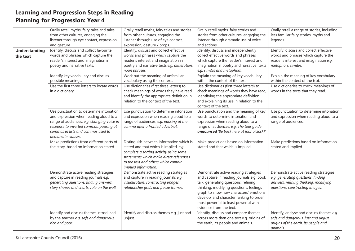|                      | Orally retell myths, fairy tales and tales  | Orally retell myths, fairy tales and stories  | Orally retell myths, fairy stories and    | Orally retell a range of stories, including |
|----------------------|---------------------------------------------|-----------------------------------------------|-------------------------------------------|---------------------------------------------|
|                      | from other cultures, engaging the           | from other cultures, engaging the             | stories from other cultures, engaging the | less familiar fairy stories, myths and      |
|                      | listener through eye contact, expression    | listener through use of eye contact,          | listener through dramatic use of voice    | legends.                                    |
|                      | and gesture                                 | expression, gesture / props.                  | and actions.                              |                                             |
| <b>Understanding</b> | Identify, discuss and collect favourite     | Identify, discuss and collect effective       | Identify, discuss and independently       | Identify, discuss and collect effective     |
| the text             | words and phrases which capture the         | words and phrases which capture the           | collect effective words and phrases       | words and phrases which capture the         |
|                      | reader's interest and imagination in        | reader's interest and imagination in          | which capture the reader's interest and   | reader's interest and imagination e.g.      |
|                      | poetry and narrative texts.                 | poetry and narrative texts e.g. alliteration, | imagination in poetry and narrative texts | metaphors, similes.                         |
|                      |                                             | noun phrases.                                 | e.g. similes and metaphors.               |                                             |
|                      | Identify key vocabulary and discuss         | Work out the meaning of unfamiliar            | Explain the meaning of key vocabulary     | Explain the meaning of key vocabulary       |
|                      | possible meanings.                          | vocabulary using the context.                 | within the context of the text.           | within the context of the text.             |
|                      | Use the first three letters to locate words | Use dictionaries (first three letters) to     | Use dictionaries (first three letters) to | Use dictionaries to check meanings of       |
|                      | in a dictionary.                            | check meanings of words they have read        | check meanings of words they have read,   | words in the texts that they read.          |
|                      |                                             | and identify the appropriate definition in    | identifying the appropriate definition    |                                             |
|                      |                                             | relation to the context of the text.          | and explaining its use in relation to the |                                             |
|                      |                                             |                                               | context of the text.                      |                                             |
|                      | Use punctuation to determine intonation     | Use punctuation to determine intonation       | Use punctuation and the meaning of key    | Use punctuation to determine intonation     |
|                      | and expression when reading aloud to a      | and expression when reading aloud to a        | words to determine intonation and         | and expression when reading aloud to a      |
|                      | range of audiences, e.g. changing voice in  | range of audiences, e.g. pausing at the       | expression when reading aloud to a        | range of audiences.                         |
|                      | response to inverted commas, pausing at     | comma after a fronted adverbial.              | range of audiences, e.g. The tour guide   |                                             |
|                      | commas in lists and commas used to          |                                               | announced 'Be back here at four o'clock!' |                                             |
|                      | demarcate clauses.                          |                                               |                                           |                                             |
|                      | Make predictions from different parts of    | Distinguish between information which is      | Make predictions based on information     | Make predictions based on information       |
|                      | the story, based on information stated.     | stated and that which is implied, e.g.        | stated and that which is implied.         | stated and implied.                         |
|                      |                                             | complete a sorting activity using some        |                                           |                                             |
|                      |                                             | statements which make direct references       |                                           |                                             |
|                      |                                             | to the text and others which contain          |                                           |                                             |
|                      |                                             | implied information.                          |                                           |                                             |
|                      | Demonstrate active reading strategies       | Demonstrate active reading strategies         | Demonstrate active reading strategies     | Demonstrate active reading strategies       |
|                      | and capture in reading journals e.g.        | and capture in reading journals e.g.          | and capture in reading journals e.g. book | e.g. generating questions, finding          |
|                      | generating questions, finding answers,      | visualisation, constructing images,           | talk, generating questions, refining      | answers, refining thinking, modifying       |
|                      | story shapes and charts, role on the wall.  | relationship grids and freeze frames.         | thinking, modifying questions, feelings   | questions, constructing images.             |
|                      |                                             |                                               | graph to show how characters' emotions    |                                             |
|                      |                                             |                                               | develop, and character ranking to order   |                                             |
|                      |                                             |                                               | most powerful to least powerful with      |                                             |
|                      |                                             |                                               | evidence from the text.                   |                                             |
|                      | Identify and discuss themes introduced      | Identify and discuss themes e.g. just and     | Identify, discuss and compare themes      | Identify, analyse and discuss themes e.g.   |
|                      | by the teacher e.g. safe and dangerous,     | unjust.                                       | across more than one text e.g. origins of | safe and dangerous, just and unjust,        |
|                      | rich and poor.                              |                                               | the earth, its people and animals.        | origins of the earth, its people and        |
|                      |                                             |                                               |                                           | animals.                                    |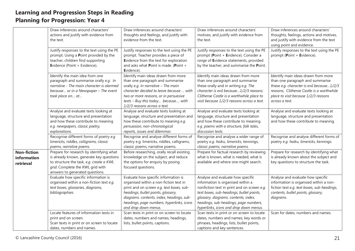|                                                | Draw inferences around characters'<br>actions and justify with evidence from                                                                                                                            | Draw inferences around characters'<br>thoughts and feelings, and justify with                                                                                                                                                                                                       | Draw inferences around characters'<br>motives, and justify with evidence from                                                                                                                                                                                                                | Draw inferences around characters'<br>thoughts, feelings, actions and motives,                                                                                                                                              |
|------------------------------------------------|---------------------------------------------------------------------------------------------------------------------------------------------------------------------------------------------------------|-------------------------------------------------------------------------------------------------------------------------------------------------------------------------------------------------------------------------------------------------------------------------------------|----------------------------------------------------------------------------------------------------------------------------------------------------------------------------------------------------------------------------------------------------------------------------------------------|-----------------------------------------------------------------------------------------------------------------------------------------------------------------------------------------------------------------------------|
|                                                | the text.                                                                                                                                                                                               | evidence from the text.                                                                                                                                                                                                                                                             | the text.                                                                                                                                                                                                                                                                                    | and justify with evidence from the text<br>using point and evidence.                                                                                                                                                        |
|                                                | Justify responses to the text using the PE<br>prompt. Using a Point provided by the<br>teacher, children find supporting<br>Evidence (Point + Evidence).                                                | Justify responses to the text using the PE<br>prompt. Teacher provides a piece of<br>Evidence from the text for exploration<br>and asks what Point is made. (Point +<br>Evidence).                                                                                                  | Justify responses to the text using the PE<br>prompt (Point + Evidence). Consider a<br>range of Evidence statements, provided<br>by the teacher, and summarise the Point.                                                                                                                    | Justify responses to the text using the PE<br>prompt (Point + Evidence).                                                                                                                                                    |
|                                                | Identify the main idea from one<br>paragraph and summarise orally e.g. In<br>narrative - The main character is alarmed<br>because or in a Newspaper - The event<br>took place on at                     | Identify main ideas drawn from more<br>than one paragraph and summarise<br>orally e.g. In narrative - The main<br>character decided to leave because  with<br>two or more reasons, or in persuasive<br>texts - Buy this today because with<br>1/2/3 reasons across a text.          | Identify main ideas drawn from more<br>than one paragraph and summarise<br>these orally and in writing e.g. The<br>character is evil because1/2/3 reasons;<br>Clitheroe Castle is a worthwhile place to<br>visit because 1/2/3 reasons across a text.                                        | Identify main ideas drawn from more<br>than one paragraph and summarise<br>these e.g. character is evil because1/2/3<br>reasons, Clitheroe Castle is a worthwhile<br>place to visit because 1/2/3 reasons<br>across a text. |
|                                                | Analyse and evaluate texts looking at<br>language, structure and presentation<br>and how these contribute to meaning<br>e.g. newspapers, classic poetry,<br>explanations.                               | Analyse and evaluate texts looking at<br>language, structure and presentation and<br>how these contribute to meaning e.g.<br>persuasion, non-chronological<br>reports, issues and dilemmas                                                                                          | Analyse and evaluate texts looking at<br>language, structure and presentation<br>and how these contribute to meaning<br>e.g. poems with a structure, folk tales,<br>discussion texts.                                                                                                        | Analyse and evaluate texts looking at<br>language, structure and presentation<br>and how these contribute to meaning.                                                                                                       |
|                                                | Recognise different forms of poetry e.g<br>limericks, riddles, calligrams, classic<br>poems, narrative poems.                                                                                           | Recognise and analyse different forms of<br>poetry e.g. limericks, riddles, calligrams,<br>classic poems, narrative poems.                                                                                                                                                          | Recognise and analyse a wider range of<br>poetry e.g. haiku, limericks, kennings,<br>classic poems, narrative poems.                                                                                                                                                                         | Recognise and analyse different forms of<br>poetry e.g. haiku, limericks, kennings.                                                                                                                                         |
| <b>Non-fiction</b><br>information<br>retrieval | Prepare for research by identifying what<br>is already known, generate key questions<br>to structure the task, e.g. create a KWL<br>grid. Complete the KWL grid with<br>answers to generated questions. | Before researching, orally recall existing<br>knowledge on the subject, and reduce<br>the options for enquiry by posing<br>focused questions.                                                                                                                                       | Prepare for factual research by reviewing<br>what is known, what is needed, what is<br>available and where one might search.                                                                                                                                                                 | Prepare for research by identifying what<br>is already known about the subject and<br>key questions to structure the task.                                                                                                  |
|                                                | Evaluate how specific information is<br>organised within a non-fiction text e.g.<br>text boxes, glossaries, diagrams,<br>bibliographies.                                                                | Evaluate how specific information is<br>organised within a non-fiction text in<br>print and on screen e.g. text boxes, sub-<br>headings, bullet points, glossary,<br>diagrams. contents, index, headings, sub-<br>headings, page numbers, hyperlinks, icons<br>and drop down menus. | Analyse and evaluate how specific<br>information is organised within a<br>nonfiction text in print and on screen e.g.<br>text boxes, sub-headings, bullet points,<br>glossary, diagrams. contents, index,<br>headings, sub-headings, page numbers,<br>hyperlinks, icons and drop down menus. | Analyse and evaluate how specific<br>information is organised within a non-<br>fiction text e.g. text boxes, sub-headings,<br>contents, bullet points, glossary,<br>diagrams.                                               |
|                                                | Locate features of information texts in<br>print and on screen.<br>Scan texts in print or on screen to locate<br>dates, numbers and names.                                                              | Scan texts in print or on screen to locate<br>dates, numbers and names, headings,<br>lists, bullet points, captions.                                                                                                                                                                | Scan texts in print or on screen to locate<br>dates, numbers and names, key words or<br>phrases, headings, lists, bullet points,<br>captions and key sentences.                                                                                                                              | Scan for dates, numbers and names.                                                                                                                                                                                          |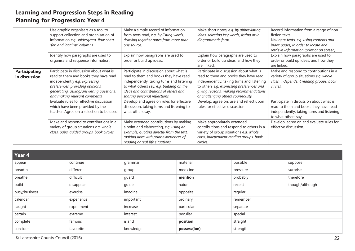|                                       | Use graphic organisers as a tool to<br>support collection and organisation of<br>information e.g. spidergram, flow chart,<br>'for' and 'against' columns.                                                                        | Make a simple record of information<br>from texts read, e.g. by listing words,<br>drawing together notes from more than<br>one source.                                                                                                              | Make short notes, e.g. by abbreviating<br>ideas, selecting key words, listing or in<br>diagrammatic form.                                                                                                                                                  | Record information from a range of non-<br>fiction texts.<br>Navigate texts, e.g. using contents and<br>index pages, in order to locate and<br>retrieve information (print or on screen). |
|---------------------------------------|----------------------------------------------------------------------------------------------------------------------------------------------------------------------------------------------------------------------------------|-----------------------------------------------------------------------------------------------------------------------------------------------------------------------------------------------------------------------------------------------------|------------------------------------------------------------------------------------------------------------------------------------------------------------------------------------------------------------------------------------------------------------|-------------------------------------------------------------------------------------------------------------------------------------------------------------------------------------------|
|                                       | Identify how paragraphs are used to<br>organise and sequence information.                                                                                                                                                        | Explain how paragraphs are used to<br>order or build up ideas.                                                                                                                                                                                      | Explain how paragraphs are used to<br>order or build up ideas, and how they<br>are linked.                                                                                                                                                                 | Explain how paragraphs are used to<br>order or build up ideas, and how they<br>are linked.                                                                                                |
| <b>Participating</b><br>in discussion | Participate in discussion about what is<br>read to them and books they have read<br>independently e.g. expressing<br>preferences, providing opinions,<br>generating, asking/answering questions,<br>and making relevant comments | Participate in discussion about what is<br>read to them and books they have read<br>independently, taking turns and listening<br>to what others say, e.g. building on the<br>ideas and contributions of others and<br>sharing personal reflections. | Participate in discussion about what is<br>read to them and books they have read<br>independently, taking turns and listening<br>to others e.g. expressing preferences and<br>giving reasons, making recommendations<br>or challenging others courteously. | Make and respond to contributions in a<br>variety of group situations e.g. whole<br>class, independent reading groups, book<br>circles.                                                   |
|                                       | Evaluate rules for effective discussion<br>which have been provided by the<br>teacher. Agree on a selection to be used.                                                                                                          | Develop and agree on rules for effective<br>discussion, taking turns and listening to<br>what others say.                                                                                                                                           | Develop, agree on, use and reflect upon<br>rules for effective discussion.                                                                                                                                                                                 | Participate in discussion about what is<br>read to them and books they have read<br>independently, taking turns and listening<br>to what others say.                                      |
|                                       | Make and respond to contributions in a<br>variety of group situations e.g. whole<br>class, pairs, guided groups, book circles.                                                                                                   | Make extended contributions by making<br>a point and elaborating, e.g. using an<br>example, quoting directly from the text,<br>making links with prior experiences of<br>reading or real life situations.                                           | Make appropriately extended<br>contributions and respond to others in a<br>variety of group situations e.g. whole<br>class, independent reading groups, book<br>circles.                                                                                   | Develop, agree on and evaluate rules for<br>effective discussion.                                                                                                                         |

| Year 4        |            |           |              |          |                 |
|---------------|------------|-----------|--------------|----------|-----------------|
| appear        | continue   | grammar   | material     | possible | suppose         |
| breadth       | different  | group     | medicine     | pressure | surprise        |
| breathe       | difficult  | guard     | mention      | probably | therefore       |
| build         | disappear  | guide     | natural      | recent   | though/although |
| busy/business | exercise   | imagine   | opposite     | regular  |                 |
| calendar      | experience | important | ordinary     | remember |                 |
| caught        | experiment | increase  | particular   | separate |                 |
| certain       | extreme    | interest  | peculiar     | special  |                 |
| complete      | famous     | island    | position     | straight |                 |
| consider      | favourite  | knowledge | possess(ion) | strength |                 |

© Lancashire County Council (2016) 22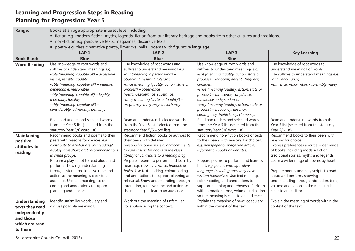| <b>Range:</b>                                                                                      | Books at an age appropriate interest level including:                                                                                                                                                                                                                                                                             |                                                                                                                                                                                                                                                                                                                                        |                                                                                                                                                                                                                                                                                                                                          |                                                                                                                                                                                                                           |  |  |
|----------------------------------------------------------------------------------------------------|-----------------------------------------------------------------------------------------------------------------------------------------------------------------------------------------------------------------------------------------------------------------------------------------------------------------------------------|----------------------------------------------------------------------------------------------------------------------------------------------------------------------------------------------------------------------------------------------------------------------------------------------------------------------------------------|------------------------------------------------------------------------------------------------------------------------------------------------------------------------------------------------------------------------------------------------------------------------------------------------------------------------------------------|---------------------------------------------------------------------------------------------------------------------------------------------------------------------------------------------------------------------------|--|--|
|                                                                                                    |                                                                                                                                                                                                                                                                                                                                   | • fiction e.g. modern fiction, myths, legends, fiction from our literary heritage and books from other cultures and traditions.                                                                                                                                                                                                        |                                                                                                                                                                                                                                                                                                                                          |                                                                                                                                                                                                                           |  |  |
|                                                                                                    | • non-fiction e.g. persuasive texts, magazines, discursive texts.                                                                                                                                                                                                                                                                 |                                                                                                                                                                                                                                                                                                                                        |                                                                                                                                                                                                                                                                                                                                          |                                                                                                                                                                                                                           |  |  |
|                                                                                                    |                                                                                                                                                                                                                                                                                                                                   | • poetry e.g. classic narrative poetry, limericks, haiku, poems with figurative language.                                                                                                                                                                                                                                              |                                                                                                                                                                                                                                                                                                                                          |                                                                                                                                                                                                                           |  |  |
|                                                                                                    | LAP <sub>1</sub>                                                                                                                                                                                                                                                                                                                  | LAP <sub>2</sub>                                                                                                                                                                                                                                                                                                                       | LAP <sub>3</sub>                                                                                                                                                                                                                                                                                                                         | <b>Key Learning</b>                                                                                                                                                                                                       |  |  |
| <b>Book Band:</b>                                                                                  | <b>Blue</b>                                                                                                                                                                                                                                                                                                                       | <b>Blue</b>                                                                                                                                                                                                                                                                                                                            | <b>Blue</b>                                                                                                                                                                                                                                                                                                                              |                                                                                                                                                                                                                           |  |  |
| <b>Word Reading</b>                                                                                | Use knowledge of root words and<br>suffixes to understand meanings e.g.<br>-ible (meaning 'capable of') - accessible,<br>visible, terrible, audible.<br>-able (meaning 'capable of') - reliable,<br>dependable, reasonable.<br>-ibly (meaning 'capable of') - legibly,<br>incredibly, forcibly.<br>-ably (meaning 'capable of') - | Use knowledge of root words and<br>suffixes to understand meanings e.g.<br>-ant (meaning 'a person who') -<br>observant, hesitant, tolerant.<br>-ance (meaning 'quality, action, state or<br>process') - observance,<br>hesitance, tolerance, substance.<br>-ancy (meaning 'state' or 'quality') -<br>pregnancy, buoyancy, absorbency. | Use knowledge of root words and<br>suffixes to understand meanings e.g.<br>-ent (meaning 'quality, action, state or<br>process') - innocent, decent, frequent,<br>confident.<br>-ence (meaning 'quality, action, state or<br>process') – innocence, confidence,<br>obedience, independence.<br>-ency (meaning 'quality, action, state or | Use knowledge of root words to<br>understand meanings of words.<br>Use suffixes to understand meanings e.g.<br>-ant, -ance, ancy,<br>-ent, ence, -ency, -ible, -able, -ibly, -ably.                                       |  |  |
|                                                                                                    | considerably, admirably, amiably.<br>Read and understand selected words                                                                                                                                                                                                                                                           | Read and understand selected words                                                                                                                                                                                                                                                                                                     | process') - frequency, decency,<br>contingency, inefficiency, clemency.<br>Read and understand selected words                                                                                                                                                                                                                            | Read and understand words from the                                                                                                                                                                                        |  |  |
|                                                                                                    | from the Year 5 list (selected from the<br>statutory Year 5/6 word list).                                                                                                                                                                                                                                                         | from the Year 5 list (selected from the<br>statutory Year 5/6 word list).                                                                                                                                                                                                                                                              | from the Year 5 list (selected from the<br>statutory Year 5/6 word list).                                                                                                                                                                                                                                                                | Year 5 list (selected from the statutory<br>Year 5/6 list).                                                                                                                                                               |  |  |
| <b>Maintaining</b><br>positive<br>attitudes to<br>reading                                          | Recommend books and poems to their<br>peers with reasons for choices, e.g.<br>contribute to a 'what are you reading?'<br>display; give short, oral recommendations<br>in small groups.                                                                                                                                            | Recommend fiction books or authors to<br>their peers with detailed<br>reasons for opinions, e.g. add comments<br>to card inserts for books in the class<br>library or contribute to a reading blog.                                                                                                                                    | Recommend non-fiction books or texts<br>to their peers with reasons for choices,<br>e.g. newspaper or magazine article,<br>information books or websites.                                                                                                                                                                                | Recommend books to their peers with<br>reasons for choices.<br>Express preferences about a wider range<br>of books including modern fiction,<br>traditional stories, myths and legends.                                   |  |  |
|                                                                                                    | Prepare a play script to read aloud and<br>perform, showing understanding<br>through intonation, tone, volume and<br>action so the meaning is clear to an<br>audience. Use text marking, colour<br>coding and annotations to support<br>planning and rehearsal.                                                                   | Prepare a poem to perform and learn by<br>heart, e.g. classic narrative, limerick or<br>haiku. Use text marking, colour coding<br>and annotations to support planning and<br>rehearsal. Show understanding through<br>intonation, tone, volume and action so<br>the meaning is clear to an audience.                                   | Prepare poems to perform and learn by<br>heart, e.g. poems with figurative<br>language, including ones they have<br>written themselves. Use text marking,<br>colour coding and annotations to<br>support planning and rehearsal. Perform<br>with intonation, tone, volume and action<br>so the meaning is clear to an audience.          | Learn a wider range of poems by heart.<br>Prepare poems and play scripts to read<br>aloud and perform, showing<br>understanding through intonation, tone,<br>volume and action so the meaning is<br>clear to an audience. |  |  |
| <b>Understanding</b><br>texts they read<br>independently<br>and those<br>which are read<br>to them | Identify unfamiliar vocabulary and<br>discuss possible meanings.                                                                                                                                                                                                                                                                  | Work out the meaning of unfamiliar<br>vocabulary using the context.                                                                                                                                                                                                                                                                    | Explain the meaning of new vocabulary<br>within the context of the text.                                                                                                                                                                                                                                                                 | Explain the meaning of words within the<br>context of the text.                                                                                                                                                           |  |  |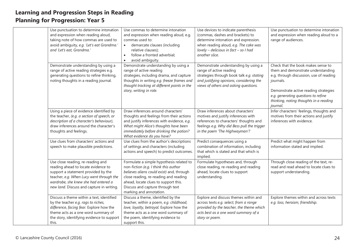| Use punctuation to determine intonation<br>and expression when reading aloud,<br>taking note of how commas are used to<br>avoid ambiguity, e.g. 'Let's eat Grandma.'<br>and 'Let's eat, Grandma.'                                                | Use commas to determine intonation<br>and expression when reading aloud, e.g.<br>commas used to:<br>demarcate clauses (including<br>relative clauses);<br>follow a fronted adverbial;<br>$\bullet$<br>avoid ambiguity.                                                         | Use devices to indicate parenthesis<br>(commas, dashes and brackets) to<br>determine intonation and expression.<br>when reading aloud, e.g. The cake was<br>lovely - delicious in fact - so I had<br>another slice. | Use punctuation to determine intonation<br>and expression when reading aloud to a<br>range of audiences.                                                                                                                                                               |
|--------------------------------------------------------------------------------------------------------------------------------------------------------------------------------------------------------------------------------------------------|--------------------------------------------------------------------------------------------------------------------------------------------------------------------------------------------------------------------------------------------------------------------------------|---------------------------------------------------------------------------------------------------------------------------------------------------------------------------------------------------------------------|------------------------------------------------------------------------------------------------------------------------------------------------------------------------------------------------------------------------------------------------------------------------|
| Demonstrate understanding by using a<br>range of active reading strategies e.g.<br>generating questions to refine thinking,<br>noting thoughts in a reading journal.                                                                             | Demonstrate understanding by using a<br>range of active reading<br>strategies, including drama, and capture<br>thoughts in writing e.g. freeze frames and<br>thought tracking at different points in the<br>story, writing in role.                                            | Demonstrate understanding by using a<br>range of active reading<br>strategies through book talk e.g. stating<br>and justifying opinions, considering the<br>views of others and asking questions.                   | Check that the book makes sense to<br>them and demonstrate understanding<br>e.g. through discussion, use of reading<br>journals.<br>Demonstrate active reading strategies<br>e.g. generating questions to refine<br>thinking, noting thoughts in a reading<br>journal. |
| Using a piece of evidence identified by<br>the teacher, (e.g. a section of speech, or<br>description of a character's behaviour),<br>draw inferences around the character's<br>thoughts and feelings.                                            | Draw inferences around characters'<br>thoughts and feelings from their actions<br>and justify inferences with evidence, e.g.<br>What might Alice's thoughts have been<br>immediately before drinking the potion?<br>What evidence do you have?                                 | Draw inferences about characters'<br>motives and justify inferences with<br>references to characters' thoughts and<br>feelings e.g. Why did Bess pull the trigger<br>in the poem 'The Highwayman'?                  | Infer characters' feelings, thoughts and<br>motives from their actions and justify<br>inferences with evidence.                                                                                                                                                        |
| Use clues from characters' actions and<br>speech to make plausible predictions.                                                                                                                                                                  | Use clues from the author's descriptions<br>of settings and characters (including<br>actions and speech) to predict outcomes.                                                                                                                                                  | Predict consequences using a<br>combination of information, including<br>that which is stated and that which is<br>implied.                                                                                         | Predict what might happen from<br>information stated and implied.                                                                                                                                                                                                      |
| Use close reading, re-reading and<br>reading ahead to locate evidence to<br>support a statement provided by the<br>teacher, e.g. When Lucy went through the<br>wardrobe, she knew she had entered a<br>new land. Discuss and capture in writing. | Formulate a simple hypothesis related to<br>non-fiction (e.g. I think this author<br>believes aliens could exist) and, through<br>close reading, re-reading and reading<br>ahead, locate clues to support this.<br>Discuss and capture through text<br>marking and annotation. | Formulate hypotheses and, through<br>close reading, re-reading and reading<br>ahead, locate clues to support<br>understanding.                                                                                      | Through close reading of the text, re-<br>read and read ahead to locate clues to<br>support understanding.                                                                                                                                                             |
| Discuss a theme within a text, identified<br>by the teacher e.g. rags to riches,<br>difference, facing fear. Explore how the<br>theme acts as a one word summary of<br>the story, identifying evidence to support<br>this.                       | Discuss a theme, identified by the<br>teacher, within a poem, e.g. childhood,<br>love, loyalty, betrayal. Explore how the<br>theme acts as a one word summary of<br>the poem, identifying evidence to<br>support this.                                                         | Explore and discuss themes within and<br>across texts e.g. select, from a range<br>provided by the teacher, the theme which<br>acts best as a one word summary of a<br>story or poem.                               | Explore themes within and across texts<br>e.g. loss, heroism, friendship.                                                                                                                                                                                              |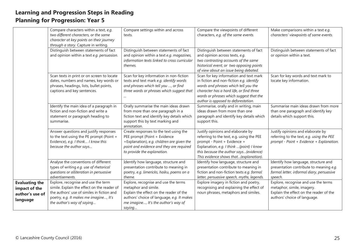|                                  | Compare characters within a text, e.g.                     | Compare settings within and across                                                        | Compare the viewpoints of different                                                  | Make comparisons within a text e.g.             |
|----------------------------------|------------------------------------------------------------|-------------------------------------------------------------------------------------------|--------------------------------------------------------------------------------------|-------------------------------------------------|
|                                  | two different characters, or the same                      | texts.                                                                                    | characters, e.g. of the same events.                                                 | characters' viewpoints of same events.          |
|                                  | character at key points on their journey                   |                                                                                           |                                                                                      |                                                 |
|                                  | through a story. Capture in writing.                       |                                                                                           |                                                                                      |                                                 |
|                                  | Distinguish between statements of fact                     | Distinguish between statements of fact                                                    | Distinguish between statements of fact                                               | Distinguish between statements of fact          |
|                                  | and opinion within a text e.g. persuasion.                 | and opinion within a text e.g. magazines,<br>information texts linked to cross curricular | and opinion across texts, e.g.<br>two contrasting accounts of the same               | or opinion within a text.                       |
|                                  |                                                            | themes.                                                                                   | historical event, or two opposing points                                             |                                                 |
|                                  |                                                            |                                                                                           | of view about an issue being debated.                                                |                                                 |
|                                  | Scan texts in print or on screen to locate                 | Scan for key information in non-fiction                                                   | Scan for key information and text mark                                               | Scan for key words and text mark to             |
|                                  | dates, numbers and names, key words or                     | texts and text mark e.g. identify words                                                   | in fiction and non-fiction e.g. identify                                             | locate key information.                         |
|                                  | phrases, headings, lists, bullet points,                   | and phrases which tell you , or find                                                      | words and phrases which tell you the                                                 |                                                 |
|                                  | captions and key sentences.                                | three words or phrases which suggest that                                                 | character has a hard life, or find three                                             |                                                 |
|                                  |                                                            |                                                                                           | words or phrases which suggest that the                                              |                                                 |
|                                  |                                                            |                                                                                           | author is opposed to deforestation.                                                  |                                                 |
|                                  | Identify the main idea of a paragraph in                   | Orally summarise the main ideas drawn                                                     | Summarise, orally and in writing, main                                               | Summarise main ideas drawn from more            |
|                                  | fiction and non-fiction and write a                        | from more than one paragraph in a                                                         | ideas drawn from more than one                                                       | than one paragraph and identify key             |
|                                  | statement or paragraph heading to<br>summarise.            | fiction text and identify key details which                                               | paragraph and identify key details which                                             | details which support this.                     |
|                                  |                                                            | support this by text marking and<br>annotation.                                           | support this.                                                                        |                                                 |
|                                  | Answer questions and justify responses                     | Create responses to the text using the                                                    | Justify opinions and elaborate by                                                    | Justify opinions and elaborate by               |
|                                  | to the text using the PE prompt (Point +                   | PEE prompt (Point + Evidence                                                              | referring to the text, e.g. using the PEE                                            | referring to the text, e.g. using the PEE       |
|                                  | Evidence), e.g. I think I know this                        | +Explanation), e.g. children are given the                                                | prompt - Point + Evidence +                                                          | prompt - Point + Evidence + Explanation.        |
|                                  | because the author says                                    | point and evidence and they are required                                                  | Explanation, e.g. I think (point) I know                                             |                                                 |
|                                  |                                                            | to provide the explanation.                                                               | this because the author says(evidence)                                               |                                                 |
|                                  |                                                            |                                                                                           | This evidence shows that(explanation).                                               |                                                 |
|                                  | Analyse the conventions of different                       | Identify how language, structure and                                                      | Identify how language, structure and                                                 | Identify how language, structure and            |
|                                  | types of writing e.g. use of rhetorical                    | presentation contribute to meaning in                                                     | presentation contribute to meaning in                                                | presentation contribute to meaning e.g.         |
|                                  | questions or alliteration in persuasive<br>advertisements. | poetry, e.g. limericks, haiku, poems on a<br>theme.                                       | fiction and non-fiction texts e.g. formal                                            | formal letter, informal diary, persuasive       |
|                                  | Explore, recognise and use the term                        | Explore, recognise and use the terms                                                      | letter, persuasive speech, myths, legends.<br>Explore imagery in fiction and poetry, | speech.<br>Explore, recognise and use the terms |
| <b>Evaluating the</b>            | simile. Explain the effect on the reader of                | metaphor and simile.                                                                      | recognising and explaining the effect of                                             | metaphor, simile, imagery.                      |
| impact of the<br>author's use of | the authors' use of similes in fiction and                 | Explain the effect on the reader of the                                                   | noun phrases, metaphors and similes.                                                 | Explain the effect on the reader of the         |
|                                  | poetry, e.g. It makes me imagine, It's                     | authors' choice of language, e.g. It makes                                                |                                                                                      | authors' choice of language.                    |
| language                         | the author's way of saying                                 | me imagine, It's the author's way of                                                      |                                                                                      |                                                 |
|                                  |                                                            | saying                                                                                    |                                                                                      |                                                 |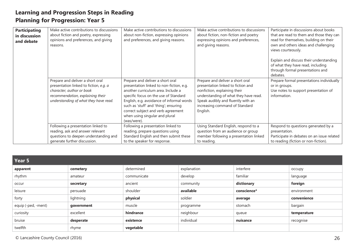| <b>Participating</b><br>in discussion<br>and debate | Make active contributions to discussions<br>about fiction and poetry, expressing<br>opinions and preferences, and giving<br>reasons.                                                 | Make active contributions to discussions<br>about non-fiction, expressing opinions<br>and preferences, and giving reasons.                                                                                                                                                                                                               | Make active contributions to discussions<br>about fiction, non-fiction and poetry<br>expressing opinions and preferences,<br>and giving reasons.                                                                                    | Participate in discussions about books<br>that are read to them and those they can<br>read for themselves, building on their<br>own and others ideas and challenging<br>views courteously.<br>Explain and discuss their understanding<br>of what they have read, including<br>through formal presentations and<br>debates. |
|-----------------------------------------------------|--------------------------------------------------------------------------------------------------------------------------------------------------------------------------------------|------------------------------------------------------------------------------------------------------------------------------------------------------------------------------------------------------------------------------------------------------------------------------------------------------------------------------------------|-------------------------------------------------------------------------------------------------------------------------------------------------------------------------------------------------------------------------------------|----------------------------------------------------------------------------------------------------------------------------------------------------------------------------------------------------------------------------------------------------------------------------------------------------------------------------|
|                                                     | Prepare and deliver a short oral<br>presentation linked to fiction, e.g. a<br>character, author or book<br>recommendation, explaining their<br>understanding of what they have read. | Prepare and deliver a short oral<br>presentation linked to non-fiction, e.g.<br>another curriculum area. Include a<br>specific focus on the use of Standard<br>English, e.g. avoidance of informal words<br>such as 'stuff' and 'thing'; ensuring<br>correct subject and verb agreement<br>when using singular and plural<br>(was/were). | Prepare and deliver a short oral<br>presentation linked to fiction and<br>nonfiction, explaining their<br>understanding of what they have read.<br>Speak audibly and fluently with an<br>increasing command of Standard<br>English. | Prepare formal presentations individually<br>or in groups.<br>Use notes to support presentation of<br>information.                                                                                                                                                                                                         |
|                                                     | Following a presentation linked to<br>reading, ask and answer relevant<br>questions to deepen understanding and<br>generate further discussion.                                      | Following a presentation linked to<br>reading, prepare questions using<br>Standard English and then submit these<br>to the speaker for response.                                                                                                                                                                                         | Using Standard English, respond to a<br>question from an audience or group<br>member following a presentation linked<br>to reading.                                                                                                 | Respond to questions generated by a<br>presentation.<br>Participate in debates on an issue related<br>to reading (fiction or non-fiction).                                                                                                                                                                                 |

| Year 5              |            |             |             |             |             |
|---------------------|------------|-------------|-------------|-------------|-------------|
| apparent            | cemetery   | determined  | explanation | interfere   | occupy      |
| rhythm              | amateur    | communicate | develop     | familiar    | language    |
| occur               | secretary  | ancient     | community   | dictionary  | foreign     |
| leisure             | persuade   | shoulder    | available   | conscience* | environment |
| forty               | lightning  | physical    | soldier     | average     | convenience |
| equip (-ped, -ment) | government | muscle      | programme   | stomach     | bargain     |
| curiosity           | excellent  | hindrance   | neighbour   | queue       | temperature |
| bruise              | desperate  | existence   | individual  | nuisance    | recognise   |
| twelfth             | rhyme      | vegetable   |             |             |             |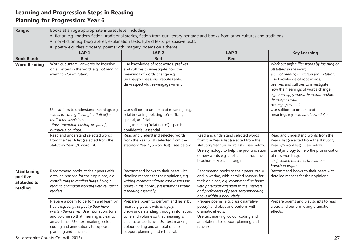| LAP <sub>1</sub>                                                                                                                                                                                                                                                              | LAP <sub>2</sub>                                                                                                                                                                                                                                                           | LAP <sub>3</sub>                                                                                                                                                                                                                                      | <b>Key Learning</b>                                                                                                                                                                                                                                                                                           |  |  |
|-------------------------------------------------------------------------------------------------------------------------------------------------------------------------------------------------------------------------------------------------------------------------------|----------------------------------------------------------------------------------------------------------------------------------------------------------------------------------------------------------------------------------------------------------------------------|-------------------------------------------------------------------------------------------------------------------------------------------------------------------------------------------------------------------------------------------------------|---------------------------------------------------------------------------------------------------------------------------------------------------------------------------------------------------------------------------------------------------------------------------------------------------------------|--|--|
| <b>Red</b>                                                                                                                                                                                                                                                                    | <b>Red</b>                                                                                                                                                                                                                                                                 | <b>Red</b>                                                                                                                                                                                                                                            |                                                                                                                                                                                                                                                                                                               |  |  |
| Work out unfamiliar words by focusing<br>on all letters in the word, e.g. not reading<br>invitation for imitation.                                                                                                                                                            | Use knowledge of root words, prefixes<br>and suffixes to investigate how the<br>meanings of words change e.g.<br>un+happy+ness, dis+repute+able,<br>dis+respect+ful, re+engage+ment.                                                                                       |                                                                                                                                                                                                                                                       | Work out unfamiliar words by focusing on<br>all letters in the word,<br>e.g. not reading invitation for imitation.<br>Use knowledge of root words,<br>prefixes and suffixes to investigate<br>how the meanings of words change<br>e.g. un+happy+ness, dis+repute+able,<br>dis+respect+ful,<br>re+engage+ment. |  |  |
| Use suffixes to understand meanings e.g.<br>-cious (meaning 'having' or 'full of') -<br>malicious, suspicious.<br>-tious (meaning 'having' or 'full of') -<br>nutritious, cautious.                                                                                           | Use suffixes to understand meanings e.g.<br>-cial (meaning 'relating to') -official,<br>special, artificial.<br>-tial, (meaning 'relating to') - partial,<br>confidential, essential.                                                                                      |                                                                                                                                                                                                                                                       | Use suffixes to understand<br>meanings e.g. -cious, -tious, -tial, -                                                                                                                                                                                                                                          |  |  |
| Read and understand selected words<br>from the Year 6 list (selected from the<br>statutory Year 5/6 word list).                                                                                                                                                               | Read and understand selected words<br>from the Year 6 list (selected from the<br>statutory Year 5/6 word list) - see below.                                                                                                                                                | Read and understand selected words<br>from the Year 6 list (selected from the<br>statutory Year 5/6 word list) - see below.<br>Use etymology to help the pronunciation<br>of new words e.g. chef, chalet, machine,<br>brochure - French in origin.    | Read and understand words from the<br>Year 6 list (selected from the statutory<br>Year 5/6 word list) - see below.<br>Use etymology to help the pronunciation<br>of new words e.g.<br>chef, chalet, machine, brochure -<br>French in origin.                                                                  |  |  |
| Recommend books to their peers with<br>detailed reasons for their opinions, e.g.<br>contributing to reading blogs, being a<br>reading champion working with reluctant<br>readers.                                                                                             | Recommend books to their peers with<br>detailed reasons for their opinions, e.g.<br>writing recommendation card inserts for<br>books in the library, presentations within<br>a reading assembly.                                                                           | Recommend books to their peers, orally<br>and in writing, with detailed reasons for<br>their opinions, e.g. recommending books<br>with particular attention to the interests<br>and preferences of peers, recommending<br>books within a book circle. | Recommend books to their peers with<br>detailed reasons for their opinions.                                                                                                                                                                                                                                   |  |  |
| Prepare a poem to perform and learn by<br>heart e.g. songs or poetry they have<br>written themselves. Use intonation, tone<br>and volume so that meaning is clear to<br>an audience. Use text marking, colour<br>coding and annotations to support<br>planning and rehearsal. | Prepare a poem to perform and learn by<br>heart e.g. poems with imagery.<br>Show understanding through intonation,<br>tone and volume so that meaning is<br>clear to an audience. Use text marking,<br>colour coding and annotations to<br>support planning and rehearsal. | Prepare poems (e.g. classic narrative<br>poetry) and plays and perform with<br>dramatic effects.<br>Use text marking, colour coding and<br>annotations to support planning and<br>rehearsal.                                                          | Prepare poems and play scripts to read<br>aloud and perform using dramatic<br>effects.<br>27                                                                                                                                                                                                                  |  |  |
|                                                                                                                                                                                                                                                                               | © Lancashire County Council (2016)                                                                                                                                                                                                                                         | Books at an age appropriate interest level including:<br>• poetry e.g. classic poetry, poems with imagery, poems on a theme.                                                                                                                          | • fiction e.g. modern fiction, traditional stories, fiction from our literary heritage and books from other cultures and traditions.<br>• non-fiction e.g. biographies, explanation texts, hybrid texts, persuasive texts.                                                                                    |  |  |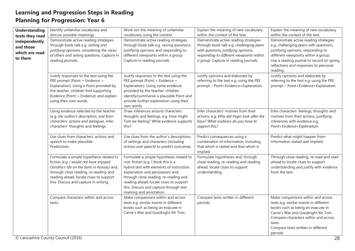| <b>Understanding</b><br>texts they read<br>independently                                                                                                                                                                                                     | Identify unfamiliar vocabulary and<br>discuss possible meanings.<br>Demonstrate active reading strategies                                                                                                                          | Work out the meaning of unfamiliar<br>vocabulary using the context.<br>Demonstrate active reading strategies                                                                                                                                                                                                             | Explain the meaning of new vocabulary<br>within the context of the text.<br>Demonstrate active reading strategies                                                      | Explain the meaning of new vocabulary<br>within the context of the text.<br>Demonstrate active reading strategies                                                                                                                                           |
|--------------------------------------------------------------------------------------------------------------------------------------------------------------------------------------------------------------------------------------------------------------|------------------------------------------------------------------------------------------------------------------------------------------------------------------------------------------------------------------------------------|--------------------------------------------------------------------------------------------------------------------------------------------------------------------------------------------------------------------------------------------------------------------------------------------------------------------------|------------------------------------------------------------------------------------------------------------------------------------------------------------------------|-------------------------------------------------------------------------------------------------------------------------------------------------------------------------------------------------------------------------------------------------------------|
| and those<br>which are read<br>to them                                                                                                                                                                                                                       | through book talk e.g. stating and<br>justifying opinions, considering the views<br>of others and asking questions. Capture in<br>reading journals.                                                                                | through book talk e.g. raising questions,<br>justifying opinions and responding to<br>different viewpoints within a group.<br>Capture in reading journals.                                                                                                                                                               | through book talk e.g. challenging peers<br>with questions, justifying opinions,<br>responding to different viewpoints within<br>a group. Capture in reading journals. | e.g. challenging peers with questions,<br>justifying opinions, responding to<br>different viewpoints within a group.<br>Use a reading journal to record on-going<br>reflections and responses to personal<br>reading.                                       |
|                                                                                                                                                                                                                                                              | Justify responses to the text using the<br>PEE prompt (Point + Evidence +<br>Explanation). Using a Point provided by<br>the teacher, children find supporting<br>Evidence (Point + Evidence) and explain<br>using their own words. | Justify responses to the text using the<br>PEE prompt (Point + Evidence +<br>Explanation). Using some evidence<br>provided by the teacher, children<br>identify/summarise a plausible Point and<br>provide further explanation using their<br>own words.                                                                 | Justify opinions and elaborate by<br>referring to the text e.g. using the PEE<br>prompt - Point+Evidence+Explanation.                                                  | Justify opinions and elaborate by<br>referring to the text e.g. using the PEE<br>prompt - Point+Evidence+Explanation.                                                                                                                                       |
|                                                                                                                                                                                                                                                              | Using evidence selected by the teacher<br>(e.g. the author's description, and from<br>characters' actions and dialogue), infer<br>characters' thoughts and feelings.                                                               | Draw inferences around characters'<br>thoughts and feelings, e.g. How might<br>Tom be feeling? What evidence supports<br>this?                                                                                                                                                                                           | Infer characters' motives from their<br>actions, e.g. Why did Fagin look after the<br>boys? What evidence do you have to<br>support this?                              | Infer characters' feelings, thoughts and<br>motives from their actions, justifying<br>inferences with evidence e.g.<br>Point+Evidence+Explanation.                                                                                                          |
|                                                                                                                                                                                                                                                              | Use clues from characters' actions and<br>speech to make plausible<br>Predictions.                                                                                                                                                 | Use clues from the author's descriptions<br>of settings and characters (including<br>actions and speech) to predict outcomes.                                                                                                                                                                                            | Predict consequences using a<br>combination of information, including<br>that which is stated and that which is<br>implied.                                            | Predict what might happen from<br>information stated and implied.                                                                                                                                                                                           |
| Formulate a simple hypothesis related to<br>fiction (e.g. I would not have enjoyed<br>Dorothy's life on the farm in Kansas) and,<br>through close reading, re-reading and<br>reading ahead, locate clues to support<br>this. Discuss and capture in writing. |                                                                                                                                                                                                                                    | Formulate a simple hypothesis related to<br>non-fiction (e.g. I think this is a<br>hybrid text with elements of instruction,<br>explanation and persuasion) and,<br>through close reading, re-reading and<br>reading ahead, locate clues to support<br>this. Discuss and capture through text<br>marking and annotation. | Formulate hypotheses and, through<br>close reading, re-reading and reading<br>ahead, locate clues to support<br>understanding.                                         | Through close reading, re-read and read<br>ahead to locate clues to support<br>understanding and justify with evidence<br>from the text.                                                                                                                    |
|                                                                                                                                                                                                                                                              | Compare characters within and across<br>texts.                                                                                                                                                                                     | Make comparisons within and across<br>texts e.g. similar events in different<br>books such as being an evacuee in<br>Carrie's War and Goodnight Mr Tom.                                                                                                                                                                  | Compare texts written in different<br>periods.                                                                                                                         | Make comparisons within and across<br>texts e.g. similar events in different<br>books such as being an evacuee in<br>Carrie's War and Goodnight Mr Tom.<br>Compare characters within and across<br>texts.<br>Compare texts written in different<br>periods. |
|                                                                                                                                                                                                                                                              | © Lancashire County Council (2016)                                                                                                                                                                                                 |                                                                                                                                                                                                                                                                                                                          |                                                                                                                                                                        | 28                                                                                                                                                                                                                                                          |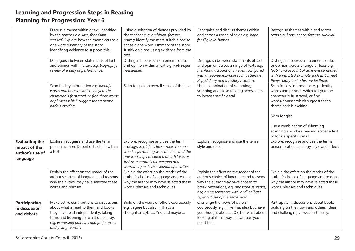|                                                                       | Discuss a theme within a text, identified<br>by the teacher e.g. loss, friendship,<br>survival. Explore how the theme acts as a<br>one word summary of the story,<br>identifying evidence to support this.                              | Using a selection of themes provided by<br>the teacher (e.g. ambition, fortune,<br>power) identify the most suitable one to<br>act as a one word summary of the story.<br>Justify opinions using evidence from the<br>text.                                 | Recognise and discuss themes within<br>and across a range of texts e.g. hope,<br>family, love, homes.                                                                                                                                              | Recognise themes within and across<br>texts e.g. hope, peace, fortune, survival.                                                                                                                                                                                                                                  |
|-----------------------------------------------------------------------|-----------------------------------------------------------------------------------------------------------------------------------------------------------------------------------------------------------------------------------------|-------------------------------------------------------------------------------------------------------------------------------------------------------------------------------------------------------------------------------------------------------------|----------------------------------------------------------------------------------------------------------------------------------------------------------------------------------------------------------------------------------------------------|-------------------------------------------------------------------------------------------------------------------------------------------------------------------------------------------------------------------------------------------------------------------------------------------------------------------|
|                                                                       | Distinguish between statements of fact<br>and opinion within a text e.g. biography,<br>review of a play or performance.                                                                                                                 | Distinguish between statements of fact<br>and opinion within a text e.g. web pages,<br>newspapers.                                                                                                                                                          | Distinguish between statements of fact<br>and opinion across a range of texts e.g.<br>first-hand account of an event compared<br>with a reportedexample such as Samuel<br>Pepys' diary and a history textbook.                                     | Distinguish between statements of fact<br>or opinion across a range of texts e.g.<br>first-hand account of an event compared<br>with a reported example such as Samuel<br>Pepys' diary and a history textbook.                                                                                                    |
|                                                                       | Scan for key information e.g. identify<br>words and phrases which tell you the<br>character is frustrated, or find three words<br>or phrases which suggest that a theme<br>park is exciting.                                            | Skim to gain an overall sense of the text.                                                                                                                                                                                                                  | Use a combination of skimming,<br>scanning and close reading across a text<br>to locate specific detail.                                                                                                                                           | Scan for key information e.g. identify<br>words and phrases which tell you the<br>character is frustrated, or find<br>words/phrases which suggest that a<br>theme park is exciting.<br>Skim for gist.<br>Use a combination of skimming,<br>scanning and close reading across a text<br>to locate specific detail. |
| <b>Evaluating the</b><br>impact of the<br>author's use of<br>language | Explore, recognise and use the term<br>personification. Describe its effect within<br>a text.                                                                                                                                           | Explore, recognise and use the term<br>analogy, e.g. Life is like a race. The one<br>who keeps running wins the race and the<br>one who stops to catch a breath loses or<br>Just as a sword is the weapon of a<br>warrior, a pen is the weapon of a writer. | Explore, recognise and use the terms<br>style and effect.                                                                                                                                                                                          | Explore, recognise and use the terms<br>personification, analogy, style and effect.                                                                                                                                                                                                                               |
|                                                                       | Explain the effect on the reader of the<br>author's choice of language and reasons<br>why the author may have selected these<br>words and phrases.                                                                                      | Explain the effect on the reader of the<br>author's choice of language and reasons<br>why the author may have selected these<br>words, phrases and techniques.                                                                                              | Explain the effect on the reader of the<br>author's choice of language and reasons<br>why the author may have chosen to<br>break onventions, e.g. one word sentence;<br>beginning sentences with 'and' or 'but';<br>repeated use of the same word. | Explain the effect on the reader of the<br>author's choice of language and reasons<br>why the author may have selected these<br>words, phrases and techniques.                                                                                                                                                    |
| <b>Participating</b><br>in discussion<br>and debate                   | Make active contributions to discussions<br>about what is read to them and books<br>they have read independently, taking<br>turns and listening to what others say,<br>e.g. expressing opinions and preferences,<br>and giving reasons. | Build on the views of others courteously,<br>e.g. I agree but also; That's a<br>thoughtmaybe; Yes, and maybe                                                                                                                                                | Challenge the views of others<br>courteously, e.g. I like that idea but have<br>you thought about; Ok, but what about<br>looking at it this way; I can see your<br>point but                                                                       | Participate in discussions about books,<br>building on their own and others' ideas<br>and challenging views courteously.                                                                                                                                                                                          |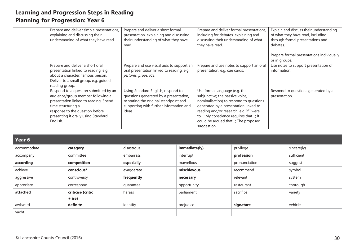| Prepare and deliver simple presentations,<br>explaining and discussing their<br>understanding of what they have read.                                                                                                           | Prepare and deliver a short formal<br>presentation, explaining and discussing<br>their understanding of what they have<br>read.                                             | Prepare and deliver formal presentations,<br>including for debates, explaining and<br>discussing their understanding of what<br>they have read.                                                                                                                                            | Explain and discuss their understanding<br>of what they have read, including<br>through formal presentations and<br>debates.<br>Prepare formal presentations individually<br>or in groups. |
|---------------------------------------------------------------------------------------------------------------------------------------------------------------------------------------------------------------------------------|-----------------------------------------------------------------------------------------------------------------------------------------------------------------------------|--------------------------------------------------------------------------------------------------------------------------------------------------------------------------------------------------------------------------------------------------------------------------------------------|--------------------------------------------------------------------------------------------------------------------------------------------------------------------------------------------|
| Prepare and deliver a short oral<br>presentation linked to reading, e.g.<br>about a character, famous person.<br>Deliver to a small group, e.g. guided<br>reading group.                                                        | Prepare and use visual aids to support an<br>oral presentation linked to reading, e.g.<br>pictures, props, ICT.                                                             | Prepare and use notes to support an oral<br>presentation, e.g. cue cards.                                                                                                                                                                                                                  | Use notes to support presentation of<br>information.                                                                                                                                       |
| Respond to a question submitted by an<br>audience/group member following a<br>presentation linked to reading. Spend<br>time structuring a<br>response to the question before<br>presenting it orally using Standard<br>English. | Using Standard English, respond to<br>questions generated by a presentation,<br>re stating the original standpoint and<br>supporting with further information and<br>ideas. | Use formal language (e.g. the<br>subjunctive; the passive voice,<br>nominalisation) to respond to questions<br>generated by a presentation linked to<br>reading and/or research, e.g. If I were<br>to; My conscience requires that; It<br>could be argued that; The proposed<br>suggestion | Respond to questions generated by a<br>presentation.                                                                                                                                       |

| Year 6      |                   |            |               |               |             |
|-------------|-------------------|------------|---------------|---------------|-------------|
| accommodate | category          | disastrous | immediate(ly) | privilege     | sincere(ly) |
| accompany   | committee         | embarrass  | interrupt     | profession    | sufficient  |
| according   | competition       | especially | marvellous    | pronunciation | suggest     |
| achieve     | conscious*        | exaggerate | mischievous   | recommend     | symbol      |
| aggressive  | controversy       | frequently | necessary     | relevant      | system      |
| appreciate  | correspond        | quarantee  | opportunity   | restaurant    | thorough    |
| attached    | criticise (critic | harass     | parliament    | sacrifice     | variety     |
|             | $+$ ise)          |            |               |               |             |
| awkward     | definite          | identity   | prejudice     | signature     | vehicle     |
| yacht       |                   |            |               |               |             |